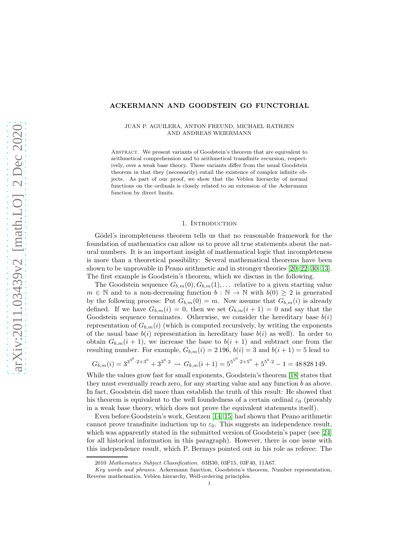#### ACKERMANN AND GOODSTEIN GO FUNCTORIAL

#### JUAN P. AGUILERA, ANTON FREUND, MICHAEL RATHJEN AND ANDREAS WEIERMANN

ABSTRACT. We present variants of Goodstein's theorem that are equivalent to arithmetical comprehension and to arithmetical transfinite recursion, respectively, over a weak base theory. These variants differ from the usual Goodstein theorem in that they (necessarily) entail the existence of complex infinite objects. As part of our proof, we show that the Veblen hierarchy of normal functions on the ordinals is closely related to an extension of the Ackermann function by direct limits.

#### 1. INTRODUCTION

Gödel's incompleteness theorem tells us that no reasonable framework for the foundation of mathematics can allow us to prove all true statements about the natural numbers. It is an important insight of mathematical logic that incompleteness is more than a theoretical possibility: Several mathematical theorems have been shown to be unprovable in Peano arithmetic and in stronger theories [\[20,](#page-35-0) [22,](#page-35-1) [30,](#page-36-0) [13\]](#page-35-2). The first example is Goodstein's theorem, which we discuss in the following.

The Goodstein sequence  $G_{b,m}(0), G_{b,m}(1), \ldots$  relative to a given starting value  $m \in \mathbb{N}$  and to a non-decreasing function  $b : \mathbb{N} \to \mathbb{N}$  with  $b(0) \geq 2$  is generated by the following process: Put  $G_{b,m}(0) = m$ . Now assume that  $G_{b,m}(i)$  is already defined. If we have  $G_{b,m}(i) = 0$ , then we set  $G_{b,m}(i+1) = 0$  and say that the Goodstein sequence terminates. Otherwise, we consider the hereditary base  $b(i)$ representation of  $G_{b,m}(i)$  (which is computed recursively, by writing the exponents of the usual base  $b(i)$  representation in hereditary base  $b(i)$  as well). In order to obtain  $G_{b,m}(i + 1)$ , we increase the base to  $b(i + 1)$  and subtract one from the resulting number. For example,  $G_{b,m}(i) = 2196$ ,  $b(i) = 3$  and  $b(i + 1) = 5$  lead to

$$
G_{b,m}(i) = 3^{3^{0} \cdot 2 + 3^{0}} + 3^{3^{0} \cdot 2} \rightsquigarrow G_{b,m}(i+1) = 5^{5^{0} \cdot 2 + 5^{0}} + 5^{5^{0} \cdot 2} - 1 = 48828149.
$$

While the values grow fast for small exponents, Goodstein's theorem [\[18\]](#page-35-3) states that they must eventually reach zero, for any starting value and any function  $b$  as above. In fact, Goodstein did more than establish the truth of this result: He showed that his theorem is equivalent to the well foundedness of a certain ordinal  $\varepsilon_0$  (provably in a weak base theory, which does not prove the equivalent statements itself).

Even before Goodstein's work, Gentzen [\[14,](#page-35-4) [15\]](#page-35-5) had shown that Peano arithmetic cannot prove transfinite induction up to  $\varepsilon_0$ . This suggests an independence result, which was apparently stated in the submitted version of Goodstein's paper (see [\[24\]](#page-35-6) for all historical information in this paragraph). However, there is one issue with this independence result, which P. Bernays pointed out in his role as referee: The

<sup>2010</sup> *Mathematics Subject Classification.* 03B30, 03F15, 03F40, 11A67.

*Key words and phrases.* Ackermann function, Goodstein's theorem, Number representation, Reverse mathematics, Veblen hierarchy, Well-ordering principles.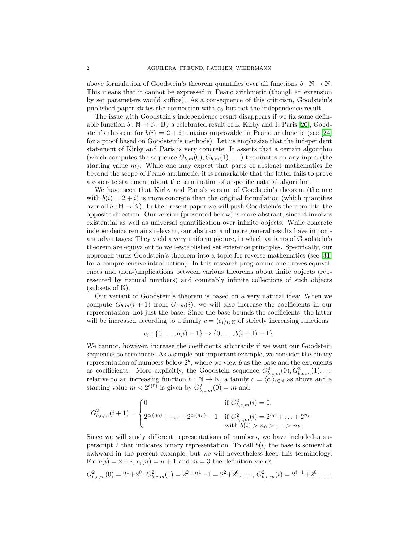above formulation of Goodstein's theorem quantifies over all functions  $b : \mathbb{N} \to \mathbb{N}$ . This means that it cannot be expressed in Peano arithmetic (though an extension by set parameters would suffice). As a consequence of this criticism, Goodstein's published paper states the connection with  $\varepsilon_0$  but not the independence result.

The issue with Goodstein's independence result disappears if we fix some definable function  $b : \mathbb{N} \to \mathbb{N}$ . By a celebrated result of L. Kirby and J. Paris [\[20\]](#page-35-0), Goodstein's theorem for  $b(i) = 2 + i$  remains unprovable in Peano arithmetic (see [\[24\]](#page-35-6)) for a proof based on Goodstein's methods). Let us emphasize that the independent statement of Kirby and Paris is very concrete: It asserts that a certain algorithm (which computes the sequence  $G_{b,m}(0), G_{b,m}(1), \ldots$ ) terminates on any input (the starting value  $m$ ). While one may expect that parts of abstract mathematics lie beyond the scope of Peano arithmetic, it is remarkable that the latter fails to prove a concrete statement about the termination of a specific natural algorithm.

We have seen that Kirby and Paris's version of Goodstein's theorem (the one with  $b(i) = 2 + i$ ) is more concrete than the original formulation (which quantifies over all  $b : \mathbb{N} \to \mathbb{N}$ . In the present paper we will push Goodstein's theorem into the opposite direction: Our version (presented below) is more abstract, since it involves existential as well as universal quantification over infinite objects. While concrete independence remains relevant, our abstract and more general results have important advantages: They yield a very uniform picture, in which variants of Goodstein's theorem are equivalent to well-established set existence principles. Specifically, our approach turns Goodstein's theorem into a topic for reverse mathematics (see [\[31\]](#page-36-1) for a comprehensive introduction). In this research programme one proves equivalences and (non-)implications between various theorems about finite objects (represented by natural numbers) and countably infinite collections of such objects (subsets of N).

Our variant of Goodstein's theorem is based on a very natural idea: When we compute  $G_{b,m}(i + 1)$  from  $G_{b,m}(i)$ , we will also increase the coefficients in our representation, not just the base. Since the base bounds the coefficients, the latter will be increased according to a family  $c = \langle c_i \rangle_{i \in \mathbb{N}}$  of strictly increasing functions

$$
c_i: \{0, \ldots, b(i)-1\} \to \{0, \ldots, b(i+1)-1\}.
$$

We cannot, however, increase the coefficients arbitrarily if we want our Goodstein sequences to terminate. As a simple but important example, we consider the binary representation of numbers below  $2^b$ , where we view b as the base and the exponents as coefficients. More explicitly, the Goodstein sequence  $G_{b,c,m}^2(0), G_{b,c,m}^2(1), \ldots$ relative to an increasing function  $b : \mathbb{N} \to \mathbb{N}$ , a family  $c = \langle c_i \rangle_{i \in \mathbb{N}}$  as above and a starting value  $m < 2^{b(0)}$  is given by  $G_{b,c,m}^2(0) = m$  and

$$
G_{b,c,m}^2(i+1) = \begin{cases} 0 & \text{if } G_{b,c,m}^2(i) = 0, \\ 2^{c_i(n_0)} + \dots + 2^{c_i(n_k)} - 1 & \text{if } G_{b,c,m}^2(i) = 2^{n_0} + \dots + 2^{n_k} \\ & \text{with } b(i) > n_0 > \dots > n_k. \end{cases}
$$

Since we will study different representations of numbers, we have included a superscript 2 that indicates binary representation. To call  $b(i)$  the base is somewhat awkward in the present example, but we will nevertheless keep this terminology. For  $b(i) = 2 + i$ ,  $c_i(n) = n + 1$  and  $m = 3$  the definition yields

$$
G_{b,c,m}^2(0) = 2^1 + 2^0, G_{b,c,m}^2(1) = 2^2 + 2^1 - 1 = 2^2 + 2^0, \dots, G_{b,c,m}^2(i) = 2^{i+1} + 2^0, \dots
$$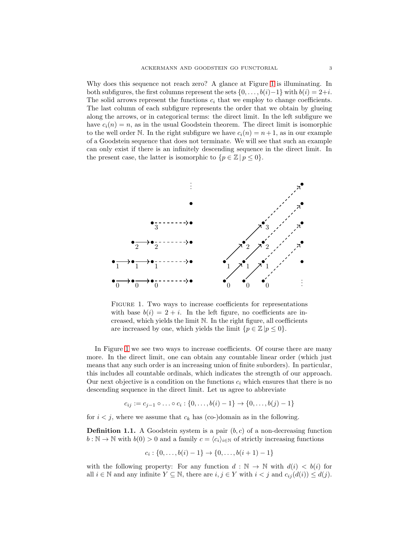Why does this sequence not reach zero? A glance at Figure [1](#page-2-0) is illuminating. In both subfigures, the first columns represent the sets  $\{0, \ldots, b(i)-1\}$  with  $b(i) = 2+i$ . The solid arrows represent the functions  $c_i$  that we employ to change coefficients. The last column of each subfigure represents the order that we obtain by glueing along the arrows, or in categorical terms: the direct limit. In the left subfigure we have  $c_i(n) = n$ , as in the usual Goodstein theorem. The direct limit is isomorphic to the well order N. In the right subfigure we have  $c_i(n) = n+1$ , as in our example of a Goodstein sequence that does not terminate. We will see that such an example can only exist if there is an infinitely descending sequence in the direct limit. In the present case, the latter is isomorphic to  $\{p \in \mathbb{Z} \mid p \leq 0\}.$ 



<span id="page-2-0"></span>Figure 1. Two ways to increase coefficients for representations with base  $b(i) = 2 + i$ . In the left figure, no coefficients are increased, which yields the limit N. In the right figure, all coefficients are increased by one, which yields the limit  $\{p \in \mathbb{Z} | p \leq 0\}.$ 

In Figure [1](#page-2-0) we see two ways to increase coefficients. Of course there are many more. In the direct limit, one can obtain any countable linear order (which just means that any such order is an increasing union of finite suborders). In particular, this includes all countable ordinals, which indicates the strength of our approach. Our next objective is a condition on the functions  $c_i$  which ensures that there is no descending sequence in the direct limit. Let us agree to abbreviate

$$
c_{ij} := c_{j-1} \circ \ldots \circ c_i : \{0, \ldots, b(i) - 1\} \to \{0, \ldots, b(j) - 1\}
$$

for  $i < j$ , where we assume that  $c_k$  has (co-)domain as in the following.

**Definition 1.1.** A Goodstein system is a pair  $(b, c)$  of a non-decreasing function  $b : \mathbb{N} \to \mathbb{N}$  with  $b(0) > 0$  and a family  $c = \langle c_i \rangle_{i \in \mathbb{N}}$  of strictly increasing functions

$$
c_i: \{0, \ldots, b(i)-1\} \to \{0, \ldots, b(i+1)-1\}
$$

with the following property: For any function  $d : \mathbb{N} \to \mathbb{N}$  with  $d(i) < b(i)$  for all  $i \in \mathbb{N}$  and any infinite  $Y \subseteq \mathbb{N}$ , there are  $i, j \in Y$  with  $i < j$  and  $c_{ij}(d(i)) \leq d(j)$ .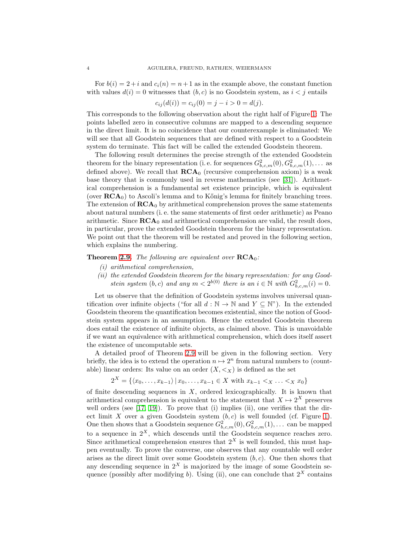For  $b(i) = 2+i$  and  $c_i(n) = n+1$  as in the example above, the constant function with values  $d(i) = 0$  witnesses that  $(b, c)$  is no Goodstein system, as  $i < j$  entails

$$
c_{ij}(d(i)) = c_{ij}(0) = j - i > 0 = d(j).
$$

This corresponds to the following observation about the right half of Figure [1:](#page-2-0) The points labelled zero in consecutive columns are mapped to a descending sequence in the direct limit. It is no coincidence that our counterexample is eliminated: We will see that all Goodstein sequences that are defined with respect to a Goodstein system do terminate. This fact will be called the extended Goodstein theorem.

The following result determines the precise strength of the extended Goodstein theorem for the binary representation (i. e. for sequences  $G_{b,c,m}^2(0), G_{b,c,m}^2(1), \ldots$  as defined above). We recall that  $\mathbf{RCA}_0$  (recursive comprehension axiom) is a weak base theory that is commonly used in reverse mathematics (see [\[31\]](#page-36-1)). Arithmetical comprehension is a fundamental set existence principle, which is equivalent (over  $\mathbf{RCA}_0$ ) to Ascoli's lemma and to Kőnig's lemma for finitely branching trees. The extension of  $\mathbf{RCA}_0$  by arithmetical comprehension proves the same statements about natural numbers (i. e. the same statements of first order arithmetic) as Peano arithmetic. Since  $\mathbf{RCA}_0$  and arithmetical comprehension are valid, the result does, in particular, prove the extended Goodstein theorem for the binary representation. We point out that the theorem will be restated and proved in the following section, which explains the numbering.

#### <span id="page-3-0"></span>**Theorem [2.9.](#page-15-0)** The following are equivalent over  $\mathbf{RCA}_0$ :

- (i) arithmetical comprehension,
- (ii) the extended Goodstein theorem for the binary representation: for any Goodstein system  $(b, c)$  and any  $m < 2^{b(0)}$  there is an  $i \in \mathbb{N}$  with  $G_{b, c, m}^2(i) = 0$ .

Let us observe that the definition of Goodstein systems involves universal quantification over infinite objects ("for all  $d : \mathbb{N} \to \mathbb{N}$  and  $Y \subseteq \mathbb{N}$ "). In the extended Goodstein theorem the quantification becomes existential, since the notion of Goodstein system appears in an assumption. Hence the extended Goodstein theorem does entail the existence of infinite objects, as claimed above. This is unavoidable if we want an equivalence with arithmetical comprehension, which does itself assert the existence of uncomputable sets.

A detailed proof of Theorem [2.9](#page-15-0) will be given in the following section. Very briefly, the idea is to extend the operation  $n \mapsto 2^n$  from natural numbers to (countable) linear orders: Its value on an order  $(X, \leq_X)$  is defined as the set

$$
2^X = \{ \langle x_0, \dots, x_{k-1} \rangle \, | \, x_0, \dots, x_{k-1} \in X \text{ with } x_{k-1} < x \dots < x \, x_0 \}
$$

of finite descending sequences in  $X$ , ordered lexicographically. It is known that arithmetical comprehension is equivalent to the statement that  $X \mapsto 2^X$  preserves well orders (see  $[17, 19]$  $[17, 19]$ ). To prove that (i) implies (ii), one verifies that the direct limit X over a given Goodstein system  $(b, c)$  is well founded (cf. Figure [1\)](#page-2-0). One then shows that a Goodstein sequence  $G_{b,c,m}^2(0), G_{b,c,m}^2(1), \ldots$  can be mapped to a sequence in  $2^X$ , which descends until the Goodstein sequence reaches zero. Since arithmetical comprehension ensures that  $2^X$  is well founded, this must happen eventually. To prove the converse, one observes that any countable well order arises as the direct limit over some Goodstein system  $(b, c)$ . One then shows that any descending sequence in  $2^X$  is majorized by the image of some Goodstein sequence (possibly after modifying b). Using (ii), one can conclude that  $2^X$  contains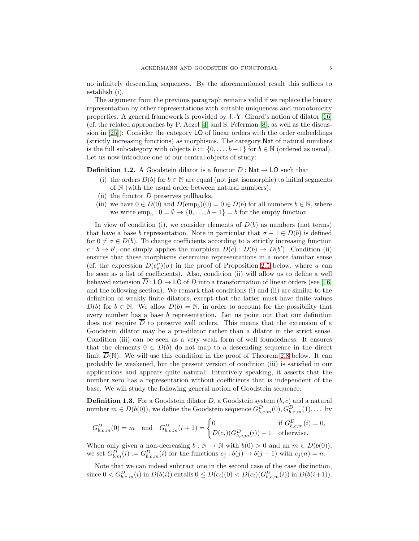no infinitely descending sequences. By the aforementioned result this suffices to establish (i).

The argument from the previous paragraph remains valid if we replace the binary representation by other representations with suitable uniqueness and monotonicity properties. A general framework is provided by J.-Y. Girard's notion of dilator [\[16\]](#page-35-9) (cf. the related approaches by P. Aczel [\[4\]](#page-35-10) and S. Feferman [\[8\]](#page-35-11), as well as the discussion in [\[25\]](#page-35-12)): Consider the category LO of linear orders with the order embeddings (strictly increasing functions) as morphisms. The category Nat of natural numbers is the full subcategory with objects  $b := \{0, \ldots, b-1\}$  for  $b \in \mathbb{N}$  (ordered as usual). Let us now introduce one of our central objects of study:

#### <span id="page-4-0"></span>**Definition 1.2.** A Goodstein dilator is a functor  $D : \mathsf{Nat} \to \mathsf{LO}$  such that

- (i) the orders  $D(b)$  for  $b \in \mathbb{N}$  are equal (not just isomorphic) to initial segments of N (with the usual order between natural numbers),
- (ii) the functor  $D$  preserves pullbacks,
- (iii) we have  $0 \in D(0)$  and  $D(\text{emp}_b)(0) = 0 \in D(b)$  for all numbers  $b \in \mathbb{N}$ , where we write  $emp_b: 0 = \emptyset \rightarrow \{0, \ldots, b-1\} = b$  for the empty function.

In view of condition (i), we consider elements of  $D(b)$  as numbers (not terms) that have a base b representation. Note in particular that  $\sigma - 1 \in D(b)$  is defined for  $0 \neq \sigma \in D(b)$ . To change coefficients according to a strictly increasing function  $c : b \to b'$ , one simply applies the morphism  $D(c) : D(b) \to D(b')$ . Condition (ii) ensures that these morphisms determine representations in a more familiar sense (cf. the expression  $D(e_a^n)(\sigma)$  in the proof of Proposition [2.5](#page-10-0) below, where a can be seen as a list of coefficients). Also, condition (ii) will allow us to define a well behaved extension  $\overline{D}$  : LO  $\rightarrow$  LO of D into a transformation of linear orders (see [\[16\]](#page-35-9) and the following section). We remark that conditions (i) and (ii) are similar to the definition of weakly finite dilators, except that the latter must have finite values  $D(b)$  for  $b \in \mathbb{N}$ . We allow  $D(b) = \mathbb{N}$ , in order to account for the possibility that every number has a base b representation. Let us point out that our definition does not require  $\overline{D}$  to preserve well orders. This means that the extension of a Goodstein dilator may be a pre-dilator rather than a dilator in the strict sense. Condition (iii) can be seen as a very weak form of well foundedness: It ensures that the elements  $0 \in D(b)$  do not map to a descending sequence in the direct limit  $\overline{D}(\mathbb{N})$ . We will use this condition in the proof of Theorem [2.8](#page-12-0) below. It can probably be weakened, but the present version of condition (iii) is satisfied in our applications and appears quite natural: Intuitively speaking, it asserts that the number zero has a representation without coefficients that is independent of the base. We will study the following general notion of Goodstein sequence:

**Definition 1.3.** For a Goodstein dilator  $D$ , a Goodstein system  $(b, c)$  and a natural number  $m \in D(b(0))$ , we define the Goodstein sequence  $G_{b,c,m}^D(0), G_{b,c,m}^D(1), \ldots$  by

$$
G_{b,c,m}^D(0) = m \quad \text{and} \quad G_{b,c,m}^D(i+1) = \begin{cases} 0 & \text{if } G_{b,c,m}^D(i) = 0, \\ D(c_i)(G_{b,c,m}^D(i)) - 1 & \text{otherwise.} \end{cases}
$$

When only given a non-decreasing  $b : \mathbb{N} \to \mathbb{N}$  with  $b(0) > 0$  and an  $m \in D(b(0)),$ we set  $G_{b,m}^D(i) := G_{b,c,m}^D(i)$  for the functions  $c_j : b(j) \to b(j+1)$  with  $c_j(n) = n$ .

Note that we can indeed subtract one in the second case of the case distinction, since  $0 < G_{b,c,m}^D(i)$  in  $D(b(i))$  entails  $0 \le D(c_i)(0) < D(c_i)(G_{b,c,m}^D(i))$  in  $D(b(i+1))$ .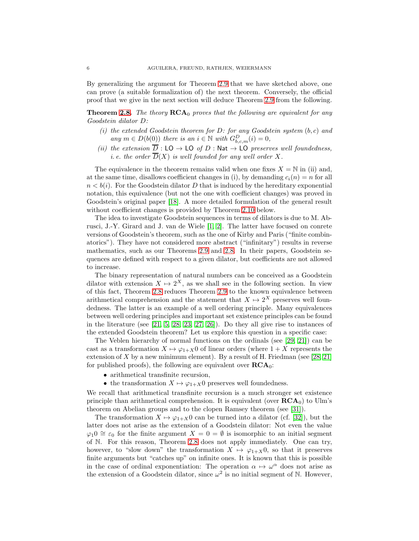By generalizing the argument for Theorem [2.9](#page-15-0) that we have sketched above, one can prove (a suitable formalization of) the next theorem. Conversely, the official proof that we give in the next section will deduce Theorem [2.9](#page-15-0) from the following.

**Theorem [2.8.](#page-12-0)** The theory  $\mathbf{RCA}_0$  proves that the following are equivalent for any Goodstein dilator D:

- (i) the extended Goodstein theorem for  $D$ : for any Goodstein system  $(b, c)$  and any  $m \in D(b(0))$  there is an  $i \in \mathbb{N}$  with  $G_{b,c,m}^D(i) = 0$ ,
- (ii) the extension  $\overline{D}$  : LO  $\rightarrow$  LO of D : Nat  $\rightarrow$  LO preserves well foundedness, *i. e. the order*  $\overline{D}(X)$  *is well founded for any well order* X.

The equivalence in the theorem remains valid when one fixes  $X = N$  in (ii) and, at the same time, disallows coefficient changes in (i), by demanding  $c_i(n) = n$  for all  $n < b(i)$ . For the Goodstein dilator D that is induced by the hereditary exponential notation, this equivalence (but not the one with coefficient changes) was proved in Goodstein's original paper [\[18\]](#page-35-3). A more detailed formulation of the general result without coefficient changes is provided by Theorem [2.10](#page-16-0) below.

The idea to investigate Goodstein sequences in terms of dilators is due to M. Abrusci, J.-Y. Girard and J. van de Wiele [\[1,](#page-35-13) [2\]](#page-35-14). The latter have focused on conrete versions of Goodstein's theorem, such as the one of Kirby and Paris ("finite combinatorics"). They have not considered more abstract ("infinitary") results in reverse mathematics, such as our Theorems [2.9](#page-15-0) and [2.8.](#page-12-0) In their papers, Goodstein sequences are defined with respect to a given dilator, but coefficients are not allowed to increase.

The binary representation of natural numbers can be conceived as a Goodstein dilator with extension  $X \mapsto 2^X$ , as we shall see in the following section. In view of this fact, Theorem [2.8](#page-12-0) reduces Theorem [2.9](#page-15-0) to the known equivalence between arithmetical comprehension and the statement that  $X \mapsto 2^X$  preserves well foundedness. The latter is an example of a well ordering principle. Many equivalences between well ordering principles and important set existence principles can be found in the literature (see [\[21,](#page-35-15) [5,](#page-35-16) [28,](#page-36-2) [23,](#page-35-17) [27,](#page-36-3) [26\]](#page-36-4)). Do they all give rise to instances of the extended Goodstein theorem? Let us explore this question in a specific case:

The Veblen hierarchy of normal functions on the ordinals (see [\[29,](#page-36-5) [21\]](#page-35-15)) can be cast as a transformation  $X \mapsto \varphi_{1+X}0$  of linear orders (where  $1+X$  represents the extension of  $X$  by a new minimum element). By a result of H. Friedman (see [\[28,](#page-36-2) [21\]](#page-35-15) for published proofs), the following are equivalent over  $RCA_0$ :

- arithmetical transfinite recursion,
- the transformation  $X \mapsto \varphi_{1+X}0$  preserves well foundedness.

We recall that arithmetical transfinite recursion is a much stronger set existence principle than arithmetical comprehension. It is equivalent (over  $\mathbf{RCA}_0$ ) to Ulm's theorem on Abelian groups and to the clopen Ramsey theorem (see [\[31\]](#page-36-1)).

The transformation  $X \mapsto \varphi_{1+X} 0$  can be turned into a dilator (cf. [\[32\]](#page-36-6)), but the latter does not arise as the extension of a Goodstein dilator: Not even the value  $\varphi_10 \cong \varepsilon_0$  for the finite argument  $X = 0 = \emptyset$  is isomorphic to an initial segment of N. For this reason, Theorem [2.8](#page-12-0) does not apply immediately. One can try, however, to "slow down" the transformation  $X \mapsto \varphi_{1+X}0$ , so that it preserves finite arguments but "catches up" on infinite ones. It is known that this is possible in the case of ordinal exponentiation: The operation  $\alpha \mapsto \omega^{\alpha}$  does not arise as the extension of a Goodstein dilator, since  $\omega^2$  is no initial segment of N. However,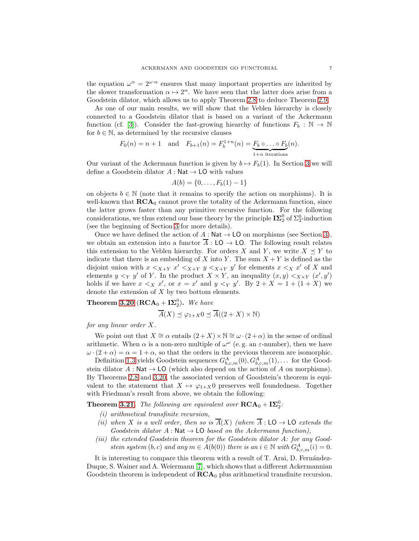the equation  $\omega^{\alpha} = 2^{\omega \cdot \alpha}$  ensures that many important properties are inherited by the slower transformation  $\alpha \mapsto 2^{\alpha}$ . We have seen that the latter does arise from a Goodstein dilator, which allows us to apply Theorem [2.8](#page-12-0) to deduce Theorem [2.9.](#page-15-0)

As one of our main results, we will show that the Veblen hierarchy is closely connected to a Goodstein dilator that is based on a variant of the Ackermann function (cf. [\[3\]](#page-35-18)). Consider the fast-growing hiearchy of functions  $F_b : \mathbb{N} \to \mathbb{N}$ for  $b \in \mathbb{N}$ , as determined by the recursive clauses

$$
F_0(n) = n + 1 \quad \text{and} \quad F_{b+1}(n) = F_b^{1+n}(n) = \underbrace{F_b \circ \dots \circ F_b}_{1+n \text{ iterations}}(n).
$$

Our variant of the Ackermann function is given by  $b \mapsto F_b(1)$ . In Section [3](#page-16-1) we will define a Goodstein dilator  $A : \mathsf{Nat} \to \mathsf{LO}$  with values

$$
A(b) = \{0, \ldots, F_b(1) - 1\}
$$

on objects  $b \in \mathbb{N}$  (note that it remains to specify the action on morphisms). It is well-known that  $\mathbf{RCA}_0$  cannot prove the totality of the Ackermann function, since the latter grows faster than any primitive recursive function. For the following considerations, we thus extend our base theory by the principle  $\mathbf{I}\Sigma^0_2$  of  $\Sigma^0_2$ -induction (see the beginning of Section [3](#page-16-1) for more details).

Once we have defined the action of  $A : \mathsf{Nat} \to \mathsf{LO}$  on morphisms (see Section [3\)](#page-16-1), we obtain an extension into a functor  $\overline{A}$ : LO  $\rightarrow$  LO. The following result relates this extension to the Veblen hierarchy. For orders X and Y, we write  $X \preceq Y$  to indicate that there is an embedding of X into Y. The sum  $X + Y$  is defined as the disjoint union with  $x <_{X+Y} x' <_{X+Y} y <_{X+Y} y'$  for elements  $x <_X x'$  of X and elements  $y \leq_Y y'$  of Y. In the product  $X \times Y$ , an inequality  $(x, y) \leq_{X \times Y} (x', y')$ holds if we have  $x \leq_X x'$ , or  $x = x'$  and  $y \leq_Y y'$ . By  $2 + X = 1 + (1 + X)$  we denote the extension of  $X$  by two bottom elements.

**Theorem [3.20](#page-31-0)** ( $\text{RCA}_0 + \text{I}\Sigma_2^0$ ). We have

$$
\overline{A}(X) \preceq \varphi_{1+X} 0 \preceq \overline{A}((2+X) \times \mathbb{N})
$$

for any linear order X.

We point out that  $X \cong \alpha$  entails  $(2 + X) \times \mathbb{N} \cong \omega \cdot (2 + \alpha)$  in the sense of ordinal arithmetic. When  $\alpha$  is a non-zero multiple of  $\omega^{\omega}$  (e.g. an  $\varepsilon$ -number), then we have  $\omega \cdot (2 + \alpha) = \alpha = 1 + \alpha$ , so that the orders in the previous theorem are isomorphic.

Definition [1.3](#page-6-0) yields Goodstein sequences  $G_{b,c,m}^A(0), G_{b,c,m}^A(1), \ldots$  for the Goodstein dilator  $A : \mathsf{Nat} \to \mathsf{LO}$  (which also depend on the action of A on morphisms). By Theorems [2.8](#page-12-0) and [3.20,](#page-31-0) the associated version of Goodstein's theorem is equivalent to the statement that  $X \mapsto \varphi_{1+X} 0$  preserves well foundedness. Together with Friedman's result from above, we obtain the following:

<span id="page-6-0"></span>**Theorem [3.21.](#page-31-1)** The following are equivalent over  $\mathbf{RCA}_0 + \mathbf{I}\mathbf{\Sigma}_2^0$ .

- (i) arithmetical transfinite recursion,
- (ii) when X is a well order, then so is  $\overline{A}(X)$  (where  $\overline{A}: \mathsf{LO} \to \mathsf{LO}$  extends the Goodstein dilator  $A : \mathsf{Nat} \to \mathsf{LO}$  based on the Ackermann function),
- (iii) the extended Goodstein theorem for the Goodstein dilator A: for any Goodstein system  $(b, c)$  and any  $m \in A(b(0))$  there is an  $i \in \mathbb{N}$  with  $G_{b, c, m}^{A}(i) = 0$ .

It is interesting to compare this theorem with a result of T. Arai, D. Fernández-Duque, S. Wainer and A. Weiermann [\[7\]](#page-35-19), which shows that a different Ackermannian Goodstein theorem is independent of  $\mathbf{RCA}_0$  plus arithmetical transfinite recursion.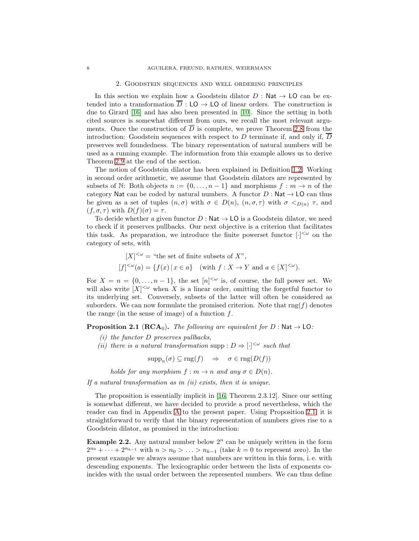#### 2. Goodstein sequences and well ordering principles

In this section we explain how a Goodstein dilator  $D : \mathsf{Nat} \to \mathsf{LO}$  can be extended into a transformation  $\overline{D}$  : LO  $\rightarrow$  LO of linear orders. The construction is due to Girard [\[16\]](#page-35-9) and has also been presented in [\[10\]](#page-35-20). Since the setting in both cited sources is somewhat different from ours, we recall the most relevant arguments. Once the construction of  $\overline{D}$  is complete, we prove Theorem [2.8](#page-12-0) from the introduction: Goodstein sequences with respect to  $D$  terminate if, and only if,  $D$ preserves well foundedness. The binary representation of natural numbers will be used as a running example. The information from this example allows us to derive Theorem [2.9](#page-15-0) at the end of the section.

The notion of Goodstein dilator has been explained in Definition [1.2.](#page-4-0) Working in second order arithmetic, we assume that Goodstein dilators are represented by subsets of N: Both objects  $n := \{0, \ldots, n-1\}$  and morphisms  $f : m \to n$  of the category Nat can be coded by natural numbers. A functor  $D : \mathsf{Nat} \to \mathsf{LO}$  can thus be given as a set of tuples  $(n, \sigma)$  with  $\sigma \in D(n)$ ,  $(n, \sigma, \tau)$  with  $\sigma \leq_{D(n)} \tau$ , and  $(f, \sigma, \tau)$  with  $D(f)(\sigma) = \tau$ .

To decide whether a given functor  $D : \mathsf{Nat} \to \mathsf{LO}$  is a Goodstein dilator, we need to check if it preserves pullbacks. Our next objective is a criterion that facilitates this task. As preparation, we introduce the finite powerset functor  $[\cdot]^{&\omega}$  on the category of sets, with

$$
[X]^{<\omega} = \text{``the set of finite subsets of } X\text{''},
$$
  

$$
[f]^{<\omega}(a) = \{f(x) \mid x \in a\} \quad \text{(with } f: X \to Y \text{ and } a \in [X]^{<\omega}\text{)}.
$$

For  $X = n = \{0, \ldots, n-1\}$ , the set  $[n]^{<\omega}$  is, of course, the full power set. We will also write  $[X]^{<\omega}$  when X is a linear order, omitting the forgetful functor to its underlying set. Conversely, subsets of the latter will often be considered as suborders. We can now formulate the promised criterion. Note that  $\text{rng}(f)$  denotes the range (in the sense of image) of a function  $f$ .

<span id="page-7-0"></span>**Proposition 2.1** ( $\text{RCA}_0$ ). The following are equivalent for D : Nat  $\rightarrow$  LO:

- $(i)$  the functor D preserves pullbacks,
- (ii) there is a natural transformation supp :  $D \Rightarrow [\cdot]^{<\omega}$  such that

 $\text{supp}_n(\sigma) \subseteq \text{rng}(f) \Rightarrow \sigma \in \text{rng}(D(f))$ 

holds for any morphism  $f : m \to n$  and any  $\sigma \in D(n)$ .

If a natural transformation as in  $(ii)$  exists, then it is unique.

The proposition is essentially implicit in [\[16,](#page-35-9) Theorem 2.3.12]. Since our setting is somewhat different, we have decided to provide a proof nevertheless, which the reader can find in Appendix [A](#page-32-0) to the present paper. Using Proposition [2.1,](#page-7-0) it is straightforward to verify that the binary representation of numbers gives rise to a Goodstein dilator, as promised in the introduction:

<span id="page-7-1"></span>**Example 2.2.** Any natural number below  $2^n$  can be uniquely written in the form  $2^{n_0} + \cdots + 2^{n_{k-1}}$  with  $n > n_0 > \ldots > n_{k-1}$  (take  $k = 0$  to represent zero). In the present example we always assume that numbers are written in this form, i. e. with descending exponents. The lexicographic order between the lists of exponents coincides with the usual order between the represented numbers. We can thus define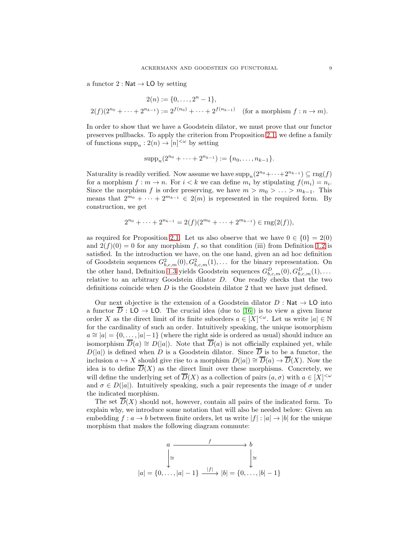a functor 2 : Nat  $\rightarrow$  LO by setting

$$
2(n) := \{0, \dots, 2^{n} - 1\},
$$
  
 
$$
2(f)(2^{n_0} + \dots + 2^{n_{k-1}}) := 2^{f(n_0)} + \dots + 2^{f(n_{k-1})}
$$
 (for a morphism  $f : n \to m$ ).

In order to show that we have a Goodstein dilator, we must prove that our functor preserves pullbacks. To apply the criterion from Proposition [2.1,](#page-7-0) we define a family of functions  $\text{supp}_n : 2(n) \to [n]^{<\omega}$  by setting

$$
supp_n(2^{n_0} + \cdots + 2^{n_{k-1}}) := \{n_0, \ldots, n_{k-1}\}.
$$

Naturality is readily verified. Now assume we have  $supp_n(2^{n_0}+\cdots+2^{n_{k-1}}) \subseteq rng(f)$ for a morphism  $f : m \to n$ . For  $i < k$  we can define  $m_i$  by stipulating  $f(m_i) = n_i$ . Since the morphism f is order preserving, we have  $m > m_0 > \ldots > m_{k-1}$ . This means that  $2^{m_0} + \cdots + 2^{m_{k-1}} \in 2(m)$  is represented in the required form. By construction, we get

$$
2^{n_0} + \dots + 2^{n_{k-1}} = 2(f)(2^{m_0} + \dots + 2^{m_{k-1}}) \in \text{rng}(2(f)),
$$

as required for Proposition [2.1.](#page-7-0) Let us also observe that we have  $0 \in \{0\} = 2(0)$ and  $2(f)(0) = 0$  for any morphism f, so that condition (iii) from Definition [1.2](#page-4-0) is satisfied. In the introduction we have, on the one hand, given an ad hoc definition of Goodstein sequences  $G_{b,c,m}^2(0), G_{b,c,m}^2(1), \ldots$  for the binary representation. On the other hand, Definition [1.3](#page-6-0) yields Goodstein sequences  $G_{b,c,m}^D(0), G_{b,c,m}^D(1), \ldots$ relative to an arbitrary Goodstein dilator D. One readly checks that the two definitions coincide when  $D$  is the Goodstein dilator 2 that we have just defined.

Our next objective is the extension of a Goodstein dilator  $D: \text{Nat} \to \text{LO}$  into a functor  $\overline{D}$ : LO  $\rightarrow$  LO. The crucial idea (due to [\[16\]](#page-35-9)) is to view a given linear order X as the direct limit of its finite suborders  $a \in [X]^{<\omega}$ . Let us write  $|a| \in \mathbb{N}$ for the cardinality of such an order. Intuitively speaking, the unique isomorphism  $a \approx |a| = \{0, \ldots, |a|-1\}$  (where the right side is ordered as usual) should induce an isomorphism  $\overline{D}(a) \cong D(|a|)$ . Note that  $\overline{D}(a)$  is not officially explained yet, while  $D(|a|)$  is defined when D is a Goodstein dilator. Since  $\overline{D}$  is to be a functor, the inclusion  $a \hookrightarrow X$  should give rise to a morphism  $D(|a|) \cong \overline{D}(a) \to \overline{D}(X)$ . Now the idea is to define  $\overline{D}(X)$  as the direct limit over these morphisms. Concretely, we will define the underlying set of  $\overline{D}(X)$  as a collection of pairs  $(a, \sigma)$  with  $a \in [X]^{<\omega}$ and  $\sigma \in D(|a|)$ . Intuitively speaking, such a pair represents the image of  $\sigma$  under the indicated morphism.

The set  $\overline{D}(X)$  should not, however, contain all pairs of the indicated form. To explain why, we introduce some notation that will also be needed below: Given an embedding  $f: a \to b$  between finite orders, let us write  $|f|: |a| \to |b|$  for the unique morphism that makes the following diagram commute:

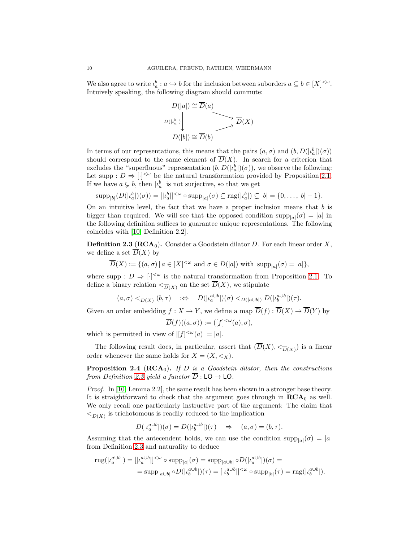We also agree to write  $\iota_a^b : a \hookrightarrow b$  for the inclusion between suborders  $a \subseteq b \in [X]^{<\omega}$ . Intuively speaking, the following diagram should commute:



In terms of our representations, this means that the pairs  $(a, \sigma)$  and  $(b, D(|\iota_a^b|)(\sigma))$ should correspond to the same element of  $\overline{D}(X)$ . In search for a criterion that excludes the "superfluous" representation  $(b, D(|\iota_a^b|)(\sigma))$ , we observe the following: Let supp :  $D \Rightarrow [\cdot]^{<\omega}$  be the natural transformation provided by Proposition [2.1.](#page-7-0) If we have  $a \subsetneq b$ , then  $|l_a^b|$  is not surjective, so that we get

$$
\operatorname{supp}_{|b|}(D(|\iota_a^b|)(\sigma)) = [|\iota_a^b|]^{<\omega} \circ \operatorname{supp}_{|a|}(\sigma) \subseteq \operatorname{rng}(|\iota_a^b|) \subsetneq |b| = \{0,\ldots,|b|-1\}.
$$

On an intuitive level, the fact that we have a proper inclusion means that  $b$  is bigger than required. We will see that the opposed condition  $\text{supp}_{|a|}(\sigma) = |a|$  in the following definition suffices to guarantee unique representations. The following coincides with [\[10,](#page-35-20) Definition 2.2].

<span id="page-9-0"></span>**Definition 2.3 (RCA<sub>0</sub>).** Consider a Goodstein dilator D. For each linear order X, we define a set  $\overline{D}(X)$  by

$$
\overline{D}(X) := \{(a, \sigma) \mid a \in [X]^{<\omega} \text{ and } \sigma \in D(|a|) \text{ with } \text{supp}_{|a|}(\sigma) = |a| \},
$$

where supp :  $D \Rightarrow [\cdot]^{<\omega}$  is the natural transformation from Proposition [2.1.](#page-7-0) To define a binary relation  $\langle \overline{D}(X) \rangle$  on the set  $D(X)$ , we stipulate

$$
(a, \sigma) <_{\overline{D}(X)} (b, \tau) \quad \Rightarrow \quad D(|\iota_a^{a \cup b}|)(\sigma) <_{D(|a \cup b|)} D(|\iota_b^{a \cup b}|)(\tau).
$$

Given an order embedding  $f : X \to Y$ , we define a map  $\overline{D}(f) : \overline{D}(X) \to \overline{D}(Y)$  by

$$
\overline{D}(f)((a,\sigma)) := ([f]^{<\omega}(a),\sigma),
$$

which is permitted in view of  $|[f]^{<\omega}(a)| = |a|$ .

The following result does, in particular, assert that  $(D(X), \leq_{\overline{D}(X)})$  is a linear order whenever the same holds for  $X = (X, \leq_X)$ .

**Proposition 2.4** ( $\text{RCA}_0$ ). If D is a Goodstein dilator, then the constructions from Definition [2.3](#page-9-0) yield a functor  $\overline{D}$  : LO  $\rightarrow$  LO.

Proof. In [\[10,](#page-35-20) Lemma 2.2], the same result has been shown in a stronger base theory. It is straightforward to check that the argument goes through in  $RCA_0$  as well. We only recall one particularly instructive part of the argument: The claim that  $\leq_{\overline{D}(X)}$  is trichotomous is readily reduced to the implication

$$
D(|\iota_a^{a\cup b}|)(\sigma) = D(|\iota_b^{a\cup b}|)(\tau) \quad \Rightarrow \quad (a,\sigma) = (b,\tau).
$$

Assuming that the antecendent holds, we can use the condition  $\text{supp}_{|a|}(\sigma) = |a|$ from Definition [2.3](#page-9-0) and naturality to deduce

$$
\text{rng}(|\iota_a^{a\cup b}|) = [|\iota_a^{a\cup b}|]^{<\omega} \circ \text{supp}_{|a|}(\sigma) = \text{supp}_{|a\cup b|} \circ D(|\iota_a^{a\cup b}|)(\sigma) =
$$
  

$$
= \text{supp}_{|a\cup b|} \circ D(|\iota_b^{a\cup b}|)(\tau) = [|\iota_b^{a\cup b}|]^{<\omega} \circ \text{supp}_{|b|}(\tau) = \text{rng}(|\iota_b^{a\cup b}|).
$$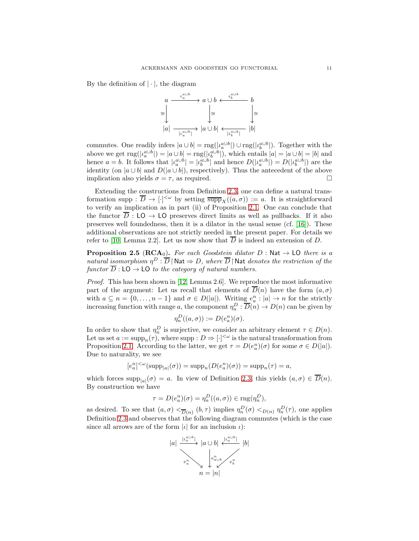By the definition of  $|\cdot|$ , the diagram



commutes. One readily infers  $|a \cup b| = \text{rng}(|\iota_a^{a \cup b}|) \cup \text{rng}(|\iota_b^{a \cup b}|)$ . Together with the above we get  $\text{rng}(|l_a^{a\cup b}|) = |a \cup b| = \text{rng}(|l_b^{a\cup b}|)$ , which entails  $|a| = |a \cup b| = |b|$  and hence  $a = b$ . It follows that  $|l_a^{a \cup b}| = |l_b^{a \cup b}|$  and hence  $D(|l_a^{a \cup b}|) = D(|l_b^{a \cup b}|)$  are the identity (on  $|a \cup b|$  and  $D(|a \cup b|)$ , respectively). Thus the antecedent of the above implication also yields  $\sigma = \tau$ , as required.

Extending the constructions from Definition [2.3,](#page-9-0) one can define a natural transformation supp :  $\overline{D} \to [\cdot]^{<\omega}$  by setting  $\overline{\text{supp}}_X((a,\sigma)) := a$ . It is straightforward to verify an implication as in part (ii) of Proposition [2.1.](#page-7-0) One can conclude that the functor  $\overline{D}$  : LO  $\rightarrow$  LO preserves direct limits as well as pullbacks. If it also preserves well foundedness, then it is a dilator in the usual sense (cf. [\[16\]](#page-35-9)). These additional observations are not strictly needed in the present paper. For details we refer to [\[10,](#page-35-20) Lemma 2.2]. Let us now show that  $\overline{D}$  is indeed an extension of D.

<span id="page-10-0"></span>**Proposition 2.5** (RCA<sub>0</sub>). For each Goodstein dilator  $D$  : Nat  $\rightarrow$  LO there is a natural isomorphism  $\eta^D : \overline{D} \restriction \mathsf{Nat} \Rightarrow D$ , where  $\overline{D} \restriction \mathsf{Nat}$  denotes the restriction of the functor  $\overline{D}$ : LO  $\rightarrow$  LO to the category of natural numbers.

Proof. This has been shown in [\[12,](#page-35-21) Lemma 2.6]. We reproduce the most informative part of the argument: Let us recall that elements of  $\overline{D}(n)$  have the form  $(a, \sigma)$ with  $a \subseteq n = \{0, ..., n-1\}$  and  $\sigma \in D(|a|)$ . Writing  $e_a^n : |a| \to n$  for the strictly increasing function with range a, the component  $\eta_n^D : \overline{D}(n) \to D(n)$  can be given by

$$
\eta_n^D((a,\sigma)) := D(e_a^n)(\sigma).
$$

In order to show that  $\eta_n^D$  is surjective, we consider an arbitrary element  $\tau \in D(n)$ . Let us set  $a := \text{supp}_n(\tau)$ , where supp  $:D \Rightarrow [\cdot]^{<\omega}$  is the natural transformation from Proposition [2.1.](#page-7-0) According to the latter, we get  $\tau = D(e_a^n)(\sigma)$  for some  $\sigma \in D(|a|)$ . Due to naturality, we see

$$
[e_a^n]^{<\omega}(\text{supp}_{|a|}(\sigma)) = \text{supp}_n(D(e_a^n)(\sigma)) = \text{supp}_n(\tau) = a,
$$

which forces  $\text{supp}_{|a|}(\sigma) = a$ . In view of Definition [2.3,](#page-9-0) this yields  $(a, \sigma) \in D(n)$ . By construction we have

$$
\tau = D(e_a^n)(\sigma) = \eta_n^D((a, \sigma)) \in \text{rng}(\eta_n^D),
$$

as desired. To see that  $(a, \sigma) <_{\overline{D}(n)} (b, \tau)$  implies  $\eta_n^D(\sigma) <_{D(n)} \eta_n^D(\tau)$ , one applies Definition [2.3](#page-9-0) and observes that the following diagram commutes (which is the case since all arrows are of the form  $|\iota|$  for an inclusion  $\iota$ :

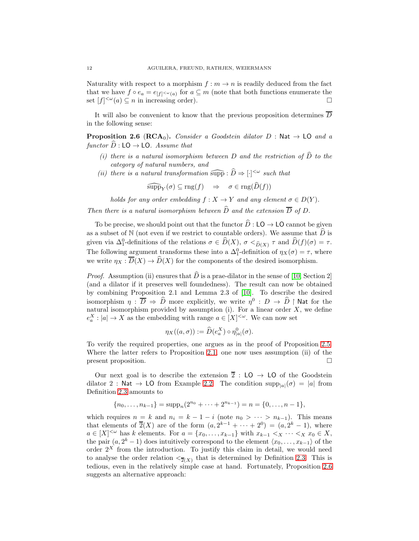Naturality with respect to a morphism  $f : m \to n$  is readily deduced from the fact that we have  $f \circ e_a = e_{[f]} \sim_{(a)}$  for  $a \subseteq m$  (note that both functions enumerate the set  $[f]^{<\omega}(a) \subseteq n$  in increasing order).

It will also be convenient to know that the previous proposition determines  $\overline{D}$ in the following sense:

<span id="page-11-0"></span>**Proposition 2.6** (RCA<sub>0</sub>). Consider a Goodstein dilator D : Nat  $\rightarrow$  LO and a functor  $\hat{D} : LO \rightarrow LO$ . Assume that

- (i) there is a natural isomorphism between D and the restriction of  $\widehat{D}$  to the category of natural numbers, and
- (ii) there is a natural transformation  $\widehat{\text{supp}} : \widehat{D} \Rightarrow [\cdot]^{<\omega}$  such that

$$
\widehat{\mathrm{supp}}_Y(\sigma) \subseteq \mathrm{rng}(f) \quad \Rightarrow \quad \sigma \in \mathrm{rng}(\widehat{D}(f))
$$

holds for any order embedding  $f : X \to Y$  and any element  $\sigma \in D(Y)$ .

Then there is a natural isomorphism between  $\widehat{D}$  and the extension  $\overline{D}$  of D.

To be precise, we should point out that the functor  $\hat{D}$  : LO  $\rightarrow$  LO cannot be given as a subset of N (not even if we restrict to countable orders). We assume that  $\hat{D}$  is given via  $\Delta_1^0$ -definitions of the relations  $\sigma \in \widehat{D}(X)$ ,  $\sigma <_{\widehat{D}(X)} \tau$  and  $\widehat{D}(f)(\sigma) = \tau$ . The following argument transforms these into a  $\Delta_1^0$ -definition of  $\eta_X(\sigma) = \tau$ , where we write  $\eta_X : \overline{D}(X) \to \widehat{D}(X)$  for the components of the desired isomorphism.

*Proof.* Assumption (ii) ensures that  $\hat{D}$  is a prae-dilator in the sense of [\[10,](#page-35-20) Section 2] (and a dilator if it preserves well foundedness). The result can now be obtained by combining Proposition 2.1 and Lemma 2.3 of [\[10\]](#page-35-20). To describe the desired isomorphism  $\eta : \overline{D} \Rightarrow \widehat{D}$  more explicitly, we write  $\eta^0 : D \to \widehat{D} \restriction$  Nat for the natural isomorphism provided by assumption (i). For a linear order  $X$ , we define  $e_a^X : |a| \to X$  as the embedding with range  $a \in [X]^{<\omega}$ . We can now set

$$
\eta_X((a,\sigma)) := \widehat{D}(e_a^X) \circ \eta_{|a|}^0(\sigma).
$$

To verify the required properties, one argues as in the proof of Proposition [2.5.](#page-10-0) Where the latter refers to Proposition [2.1,](#page-7-0) one now uses assumption (ii) of the present proposition.

Our next goal is to describe the extension  $\overline{2}$  : LO  $\rightarrow$  LO of the Goodstein dilator 2 : Nat  $\rightarrow$  LO from Example [2.2.](#page-7-1) The condition  $\text{supp}_{|a|}(\sigma) = |a|$  from Definition [2.3](#page-9-0) amounts to

$$
\{n_0, \ldots, n_{k-1}\} = \text{supp}_n(2^{n_0} + \cdots + 2^{n_{k-1}}) = n = \{0, \ldots, n-1\},
$$

which requires  $n = k$  and  $n_i = k - 1 - i$  (note  $n_0 > \cdots > n_{k-1}$ ). This means that elements of  $\overline{2}(X)$  are of the form  $(a, 2^{k-1} + \cdots + 2^0) = (a, 2^k - 1)$ , where  $a \in [X]^{<\omega}$  has k elements. For  $a = \{x_0, \ldots, x_{k-1}\}$  with  $x_{k-1} < x \cdots < x \ x_0 \in X$ , the pair  $(a, 2<sup>k</sup> - 1)$  does intuitively correspond to the element  $\langle x_0, \ldots, x_{k-1} \rangle$  of the order  $2^X$  from the introduction. To justify this claim in detail, we would need to analyse the order relation  $\langle \overline{z}(X) \rangle$  that is determined by Definition [2.3.](#page-9-0) This is tedious, even in the relatively simple case at hand. Fortunately, Proposition [2.6](#page-11-0) suggests an alternative approach: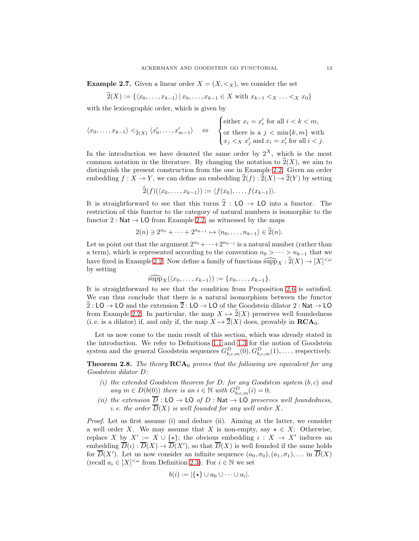<span id="page-12-1"></span>**Example 2.7.** Given a linear order  $X = (X, \leq_X)$ , we consider the set

$$
2(X) := \{ \langle x_0, \ldots, x_{k-1} \rangle \, | \, x_0, \ldots, x_{k-1} \in X \text{ with } x_{k-1} <_{X} \ldots <_{X} x_0 \}
$$

with the lexicographic order, which is given by

$$
\langle x_0, \ldots, x_{k-1} \rangle <_{\widehat{2}(X)} \langle x'_0, \ldots, x'_{m-1} \rangle \quad \Leftrightarrow \quad \begin{cases} \text{either } x_i = x'_i \text{ for all } i < k < m, \\ \text{or there is a } j < \min\{k, m\} \text{ with } \\ x_j < x \ x'_j \text{ and } x_i = x'_i \text{ for all } i < j. \end{cases}
$$

In the introduction we have denoted the same order by  $2^X$ , which is the most common notation in the literature. By changing the notation to  $\hat{2}(X)$ , we aim to distinguish the present construction from the one in Example [2.2.](#page-7-1) Given an order embedding  $f : X \to Y$ , we can define an embedding  $\widehat{2}(f) : \widehat{2}(X) \to \widehat{2}(Y)$  by setting

$$
\widehat{2}(f)(\langle x_0,\ldots,x_{k-1}\rangle):=\langle f(x_0),\ldots,f(x_{k-1})\rangle.
$$

It is straightforward to see that this turns  $\hat{2}$  : LO  $\rightarrow$  LO into a functor. The restriction of this functor to the category of natural numbers is isomorphic to the functor 2 : Nat  $\rightarrow$  LO from Example [2.2,](#page-7-1) as witnessed by the maps

$$
2(n) \ni 2^{n_0} + \cdots + 2^{n_{k-1}} \mapsto \langle n_0, \ldots, n_{k-1} \rangle \in \widehat{2}(n).
$$

Let us point out that the argument  $2^{n_0}+\cdots+2^{n_{k-1}}$  is a natural number (rather than a term), which is represented according to the convention  $n_0 > \cdots > n_{k-1}$  that we have fixed in Example [2.2.](#page-7-1) Now define a family of functions  $\widehat{\text{supp}}_X : \widehat{2}(X) \to [X]^{<\omega}$ by setting

$$
\widehat{\mathrm{supp}}_X(\langle x_0,\ldots,x_{k-1}\rangle):=\{x_0,\ldots,x_{k-1}\}.
$$

It is straightforward to see that the condition from Proposition [2.6](#page-11-0) is satisfied. We can thus conclude that there is a natural isomorphism between the functor  $\widehat{2} : LO \rightarrow LO$  and the extension  $\overline{2} : LO \rightarrow LO$  of the Goodstein dilator 2 : Nat  $\rightarrow LO$ from Example [2.2.](#page-7-1) In particular, the map  $X \mapsto 2(X)$  preserves well foundedness (i. e. is a dilator) if, and only if, the map  $X \mapsto \overline{2}(X)$  does, provably in  $\mathbf{RCA}_0$ .

Let us now come to the main result of this section, which was already stated in the introduction. We refer to Definitions [1.1](#page-3-0) and [1.3](#page-6-0) for the notion of Goodstein system and the general Goodstein sequences  $G_{b,c,m}^D(0), G_{b,c,m}^D(1), \ldots$ , respectively.

<span id="page-12-0"></span>**Theorem 2.8.** The theory  $RCA_0$  proves that the following are equivalent for any Goodstein dilator D:

- (i) the extended Goodstein theorem for  $D$ : for any Goodstein system  $(b, c)$  and any  $m \in D(b(0))$  there is an  $i \in \mathbb{N}$  with  $G_{b,c,m}^D(i) = 0$ ,
- (ii) the extension  $\overline{D}$  : LO  $\rightarrow$  LO of D : Nat  $\rightarrow$  LO preserves well foundedness, *i. e. the order*  $\overline{D}(X)$  *is well founded for any well order* X.

Proof. Let us first assume (i) and deduce (ii). Aiming at the latter, we consider a well order X. We may assume that X is non-empty, say  $\star \in X$ : Otherwise, replace X by  $X' := X \cup \{*\}$ ; the obvious embedding  $\iota : X \to X'$  induces an embedding  $\overline{D}(t): \overline{D}(X) \to \overline{D}(X')$ , so that  $\overline{D}(X)$  is well founded if the same holds for  $\overline{D}(X')$ . Let us now consider an infinite sequence  $(a_0, \sigma_0), (a_1, \sigma_1), \ldots$  in  $\overline{D}(X)$ (recall  $a_i \in [X]^{<\omega}$  from Definition [2.3\)](#page-9-0). For  $i \in \mathbb{N}$  we set

$$
b(i) := |\{\star\} \cup a_0 \cup \cdots \cup a_i|.
$$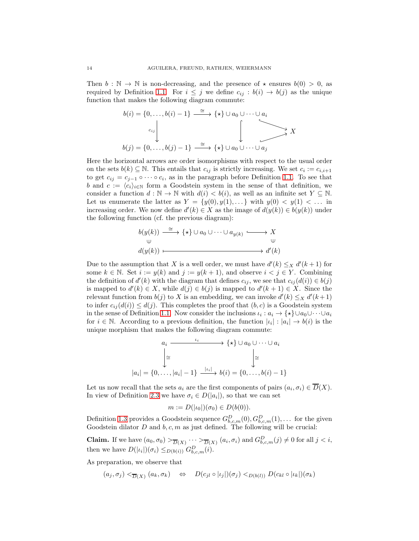Then  $b : \mathbb{N} \to \mathbb{N}$  is non-decreasing, and the presence of  $\star$  ensures  $b(0) > 0$ , as required by Definition [1.1.](#page-3-0) For  $i \leq j$  we define  $c_{ij} : b(i) \to b(j)$  as the unique function that makes the following diagram commute:

$$
b(i) = \{0, \ldots, b(i) - 1\} \xrightarrow{\cong} \{\star\} \cup a_0 \cup \cdots \cup a_i
$$
  

$$
c_{ij} \downarrow \qquad \qquad \downarrow \qquad \qquad \downarrow
$$
  

$$
b(j) = \{0, \ldots, b(j) - 1\} \xrightarrow{\cong} \{\star\} \cup a_0 \cup \cdots \cup a_j
$$

Here the horizontal arrows are order isomorphisms with respect to the usual order on the sets  $b(k) \subseteq \mathbb{N}$ . This entails that  $c_{ij}$  is strictly increasing. We set  $c_i := c_{i,i+1}$ to get  $c_{ij} = c_{j-1} \circ \cdots \circ c_i$ , as in the paragraph before Definition [1.1.](#page-3-0) To see that b and  $c := \langle c_i \rangle_{i \in \mathbb{N}}$  form a Goodstein system in the sense of that definition, we consider a function  $d : \mathbb{N} \to \mathbb{N}$  with  $d(i) < b(i)$ , as well as an infinite set  $Y \subseteq \mathbb{N}$ . Let us enumerate the latter as  $Y = \{y(0), y(1), \ldots\}$  with  $y(0) < y(1) < \ldots$  in increasing order. We now define  $d'(k) \in X$  as the image of  $d(y(k)) \in b(y(k))$  under the following function (cf. the previous diagram):

$$
b(y(k)) \xrightarrow{\cong} \{ \star \} \cup a_0 \cup \cdots \cup a_{y(k)} \xrightarrow{\qquad} X
$$
  

$$
\cup \qquad \qquad \cup
$$
  

$$
d(y(k)) \longmapsto d'(k)
$$

Due to the assumption that X is a well order, we must have  $d'(k) \leq_X d'(k+1)$  for some  $k \in \mathbb{N}$ . Set  $i := y(k)$  and  $j := y(k+1)$ , and observe  $i < j \in Y$ . Combining the definition of  $d'(k)$  with the diagram that defines  $c_{ij}$ , we see that  $c_{ij}(d(i)) \in b(j)$ is mapped to  $d'(k) \in X$ , while  $d(j) \in b(j)$  is mapped to  $d'(k+1) \in X$ . Since the relevant function from  $b(j)$  to X is an embedding, we can invoke  $d'(k) \leq_X d'(k+1)$ to infer  $c_{ij}(d(i)) \leq d(j)$ . This completes the proof that  $(b, c)$  is a Goodstein system in the sense of Definition [1.1.](#page-3-0) Now consider the inclusions  $\iota_i : a_i \to {\star} \cup a_0 \cup \cdots \cup a_i$ for  $i \in \mathbb{N}$ . According to a previous definition, the function  $|\iota_i| : |a_i| \to b(i)$  is the unique morphism that makes the following diagram commute:

$$
a_i \xrightarrow{\iota_i} \{ \star \} \cup a_0 \cup \cdots \cup a_i
$$

$$
\downarrow \cong
$$

$$
|a_i| = \{0, \ldots, |a_i| - 1\} \xrightarrow{|l_i|} b(i) = \{0, \ldots, b(i) - 1\}
$$

Let us now recall that the sets  $a_i$  are the first components of pairs  $(a_i, \sigma_i) \in D(X)$ . In view of Definition [2.3](#page-9-0) we have  $\sigma_i \in D(|a_i|)$ , so that we can set

$$
m := D(|\iota_0|)(\sigma_0) \in D(b(0)).
$$

Definition [1.3](#page-6-0) provides a Goodstein sequence  $G_{b,c,m}^D(0), G_{b,c,m}^D(1), \ldots$  for the given Goodstein dilator  $D$  and  $b, c, m$  as just defined. The following will be crucial:

**Claim.** If we have  $(a_0, \sigma_0) >_{\overline{D}(X)} \cdots >_{\overline{D}(X)} (a_i, \sigma_i)$  and  $G_{b,c,m}^D(j) \neq 0$  for all  $j < i$ , then we have  $D(|\iota_i|)(\sigma_i) \leq_{D(b(i))} G_{b,c,m}^D(i)$ .

As preparation, we observe that

$$
(a_j, \sigma_j) <_{\overline{D}(X)} (a_k, \sigma_k) \quad \Leftrightarrow \quad D(c_{jl} \circ |i_j|)(\sigma_j) <_{D(b(l))} D(c_{kl} \circ |i_k|)(\sigma_k)
$$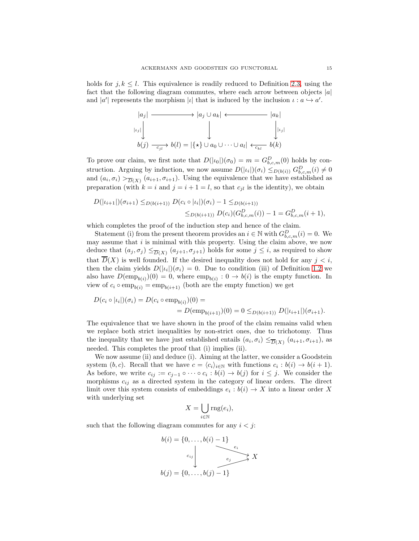holds for  $j, k \leq l$ . This equivalence is readily reduced to Definition [2.3,](#page-9-0) using the fact that the following diagram commutes, where each arrow between objects  $|a|$ and |a'| represents the morphism |l| that is induced by the inclusion  $\iota : a \hookrightarrow a'$ .

$$
|a_j| \longrightarrow |a_j \cup a_k| \longleftarrow |a_k|
$$
  
\n
$$
|a_j| \downarrow |a_k|
$$
  
\n
$$
|a_k| \downarrow |a_k|
$$
  
\n
$$
|b(j) \longrightarrow b(l) = |\{\star\} \cup a_0 \cup \dots \cup a_l| \longleftarrow b(k)
$$

To prove our claim, we first note that  $D(|\iota_0|)(\sigma_0) = m = G_{b,c,m}^D(0)$  holds by construction. Arguing by induction, we now assume  $D(|\iota_i|)(\sigma_i) \leq_{D(b(i))} G_{b,c,m}^D(i) \neq 0$ and  $(a_i, \sigma_i) >_{\overline{D}(X)} (a_{i+1}, \sigma_{i+1})$ . Using the equivalence that we have established as preparation (with  $k = i$  and  $j = i + 1 = l$ , so that  $c_{jl}$  is the identity), we obtain

$$
D(|\iota_{i+1}|)(\sigma_{i+1}) \leq_{D(b(i+1))} D(c_i \circ |\iota_i|)(\sigma_i) - 1 \leq_{D(b(i+1))}
$$
  

$$
\leq_{D(b(i+1))} D(c_i) (G_{b,c,m}^D(i)) - 1 = G_{b,c,m}^D(i+1),
$$

which completes the proof of the induction step and hence of the claim.

Statement (i) from the present theorem provides an  $i \in \mathbb{N}$  with  $G_{b,c,m}^D(i) = 0$ . We may assume that  $i$  is minimal with this property. Using the claim above, we now deduce that  $(a_j, \sigma_j) \leq_{\overline{D}(X)} (a_{j+1}, \sigma_{j+1})$  holds for some  $j \leq i$ , as required to show that  $\overline{D}(X)$  is well founded. If the desired inequality does not hold for any  $j < i$ , then the claim yields  $D(|\iota_i|)(\sigma_i) = 0$ . Due to condition (iii) of Definition [1.2](#page-4-0) we also have  $D(\text{emp}_{b(i)})(0) = 0$ , where  $\text{emp}_{b(i)} : 0 \to b(i)$  is the empty function. In view of  $c_i \circ \text{emp}_{b(i)} = \text{emp}_{b(i+1)}$  (both are the empty function) we get

$$
D(c_i \circ |i_i|)(\sigma_i) = D(c_i \circ \text{emp}_{b(i)})(0) =
$$
  
= 
$$
D(\text{emp}_{b(i+1)})(0) = 0 \leq_{D(b(i+1))} D(|i_{i+1}|)(\sigma_{i+1}).
$$

The equivalence that we have shown in the proof of the claim remains valid when we replace both strict inequalities by non-strict ones, due to trichotomy. Thus the inequality that we have just established entails  $(a_i, \sigma_i) \leq_{\overline{D}(X)} (a_{i+1}, \sigma_{i+1}),$  as needed. This completes the proof that (i) implies (ii).

We now assume (ii) and deduce (i). Aiming at the latter, we consider a Goodstein system  $(b, c)$ . Recall that we have  $c = \langle c_i \rangle_{i \in \mathbb{N}}$  with functions  $c_i : b(i) \to b(i+1)$ . As before, we write  $c_{ij} := c_{j-1} \circ \cdots \circ c_i : b(i) \to b(j)$  for  $i \leq j$ . We consider the morphisms  $c_{ij}$  as a directed system in the category of linear orders. The direct limit over this system consists of embeddings  $e_i : b(i) \to X$  into a linear order X with underlying set

$$
X = \bigcup_{i \in \mathbb{N}} \text{rng}(e_i),
$$

such that the following diagram commutes for any  $i < j$ .

$$
b(i) = \{0, \ldots, b(i) - 1\}
$$
  

$$
c_{ij}
$$
  

$$
b(j) = \{0, \ldots, b(j) - 1\}
$$
  

$$
X
$$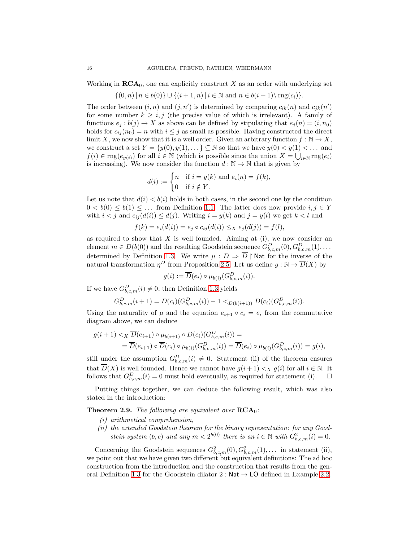Working in  $\mathbf{RCA}_0$ , one can explicitly construct X as an order with underlying set

$$
\{(0, n) | n \in b(0)\} \cup \{(i + 1, n) | i \in \mathbb{N} \text{ and } n \in b(i + 1) \setminus \text{rng}(c_i)\}.
$$

The order between  $(i, n)$  and  $(j, n')$  is determined by comparing  $c_{ik}(n)$  and  $c_{jk}(n')$ for some number  $k \geq i, j$  (the precise value of which is irrelevant). A family of functions  $e_j : b(j) \to X$  as above can be defined by stipulating that  $e_j(n) = (i, n_0)$ holds for  $c_{ij}(n_0) = n$  with  $i \leq j$  as small as possible. Having constructed the direct limit X, we now show that it is a well order. Given an arbitrary function  $f : \mathbb{N} \to X$ , we construct a set  $Y = \{y(0), y(1), \ldots\} \subseteq \mathbb{N}$  so that we have  $y(0) < y(1) < \ldots$  and  $f(i) \in \text{rng}(e_{y(i)})$  for all  $i \in \mathbb{N}$  (which is possible since the union  $X = \bigcup_{i \in \mathbb{N}} \text{rng}(e_i)$ is increasing). We now consider the function  $d : \mathbb{N} \to \mathbb{N}$  that is given by

$$
d(i) := \begin{cases} n & \text{if } i = y(k) \text{ and } e_i(n) = f(k), \\ 0 & \text{if } i \notin Y. \end{cases}
$$

Let us note that  $d(i) < b(i)$  holds in both cases, in the second one by the condition  $0 < b(0) \le b(1) \le \ldots$  from Definition [1.1.](#page-3-0) The latter does now provide  $i, j \in Y$ with  $i < j$  and  $c_{ij}(d(i)) \leq d(j)$ . Writing  $i = y(k)$  and  $j = y(l)$  we get  $k < l$  and

$$
f(k) = e_i(d(i)) = e_j \circ c_{ij}(d(i)) \leq_X e_j(d(j)) = f(l),
$$

as required to show that  $X$  is well founded. Aiming at (i), we now consider an element  $m \in D(b(0))$  and the resulting Goodstein sequence  $G_{b,c,m}^D(0), G_{b,c,m}^D(1), \ldots$ determined by Definition [1.3.](#page-6-0) We write  $\mu : D \Rightarrow \overline{D} \restriction$  Nat for the inverse of the natural transformation  $\eta^D$  from Proposition [2.5.](#page-10-0) Let us define  $g : \mathbb{N} \to \overline{D}(X)$  by

$$
g(i) := \overline{D}(e_i) \circ \mu_{b(i)}(G_{b,c,m}^D(i)).
$$

If we have  $G_{b,c,m}^D(i) \neq 0$ , then Definition [1.3](#page-6-0) yields

$$
G_{b,c,m}^D(i+1) = D(c_i)(G_{b,c,m}^D(i)) - 1 <_{D(b(i+1))} D(c_i)(G_{b,c,m}^D(i)).
$$

Using the naturality of  $\mu$  and the equation  $e_{i+1} \circ c_i = e_i$  from the commutative diagram above, we can deduce

$$
g(i + 1) <_{X} \overline{D}(e_{i+1}) \circ \mu_{b(i+1)} \circ D(c_i)(G_{b,c,m}^D(i)) =
$$
  
=  $\overline{D}(e_{i+1}) \circ \overline{D}(c_i) \circ \mu_{b(i)}(G_{b,c,m}^D(i)) = \overline{D}(e_i) \circ \mu_{b(i)}(G_{b,c,m}^D(i)) = g(i),$ 

still under the assumption  $G_{b,c,m}^D(i) \neq 0$ . Statement (ii) of the theorem ensures that  $\overline{D}(X)$  is well founded. Hence we cannot have  $g(i+1) <_X g(i)$  for all  $i \in \mathbb{N}$ . It follows that  $G_{b,c,m}^D(i) = 0$  must hold eventually, as required for statement (i).  $\Box$ 

Putting things together, we can deduce the following result, which was also stated in the introduction:

<span id="page-15-0"></span>**Theorem 2.9.** The following are equivalent over  $\mathbf{RCA}_0$ :

- (i) arithmetical comprehension,
- (ii) the extended Goodstein theorem for the binary representation: for any Goodstein system  $(b, c)$  and any  $m < 2^{b(0)}$  there is an  $i \in \mathbb{N}$  with  $G_{b, c, m}^2(i) = 0$ .

Concerning the Goodstein sequences  $G_{b,c,m}^2(0), G_{b,c,m}^2(1), \ldots$  in statement (ii), we point out that we have given two different but equivalent definitions: The ad hoc construction from the introduction and the construction that results from the gen-eral Definition [1.3](#page-6-0) for the Goodstein dilator 2 : Nat  $\rightarrow$  LO defined in Example [2.2.](#page-7-1)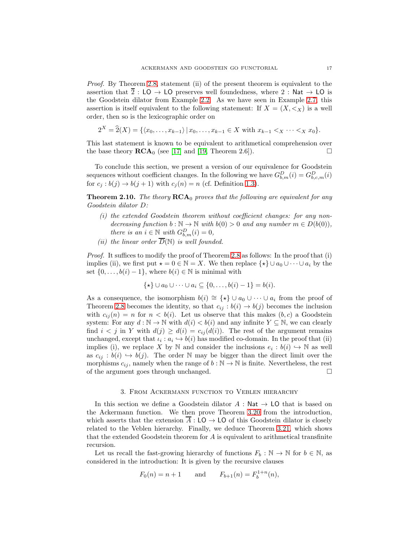Proof. By Theorem [2.8,](#page-12-0) statement (ii) of the present theorem is equivalent to the assertion that  $\overline{2}$  : LO  $\rightarrow$  LO preserves well foundedness, where 2 : Nat  $\rightarrow$  LO is the Goodstein dilator from Example [2.2.](#page-7-1) As we have seen in Example [2.7,](#page-12-1) this assertion is itself equivalent to the following statement: If  $X = (X, \leq_X)$  is a well order, then so is the lexicographic order on

$$
2^{X} = \hat{2}(X) = \{ \langle x_0, \ldots, x_{k-1} \rangle \, | \, x_0, \ldots, x_{k-1} \in X \text{ with } x_{k-1} <_{X} \cdots <_{X} x_0 \}.
$$

This last statement is known to be equivalent to arithmetical comprehension over the base theory  $\mathbf{RCA}_0$  (see [\[17\]](#page-35-7) and [\[19,](#page-35-8) Theorem 2.6]).

To conclude this section, we present a version of our equivalence for Goodstein sequences without coefficient changes. In the following we have  $G_{b,m}^D(i) = G_{b,c,m}^D(i)$ for  $c_j : b(j) \to b(j+1)$  with  $c_j(n) = n$  (cf. Definition [1.3\)](#page-6-0).

<span id="page-16-0"></span>**Theorem 2.10.** The theory  $RCA_0$  proves that the following are equivalent for any Goodstein dilator D:

- $(i)$  the extended Goodstein theorem without coefficient changes: for any nondecreasing function  $b : \mathbb{N} \to \mathbb{N}$  with  $b(0) > 0$  and any number  $m \in D(b(0)),$ there is an  $i \in \mathbb{N}$  with  $G_{b,m}^D(i) = 0$ ,
- (ii) the linear order  $\overline{D}(\mathbb{N})$  is well founded.

Proof. It suffices to modify the proof of Theorem [2.8](#page-12-0) as follows: In the proof that (i) implies (ii), we first put  $\star = 0 \in \mathbb{N} = X$ . We then replace  $\{\star\} \cup a_0 \cup \cdots \cup a_i$  by the set  $\{0, \ldots, b(i) - 1\}$ , where  $b(i) \in \mathbb{N}$  is minimal with

$$
\{\star\} \cup a_0 \cup \cdots \cup a_i \subseteq \{0,\ldots,b(i)-1\} = b(i).
$$

As a consequence, the isomorphism  $b(i) \cong {\star} \cup a_0 \cup \cdots \cup a_i$  from the proof of Theorem [2.8](#page-12-0) becomes the identity, so that  $c_{ij} : b(i) \to b(j)$  becomes the inclusion with  $c_{ij}(n) = n$  for  $n < b(i)$ . Let us observe that this makes  $(b, c)$  a Goodstein system: For any  $d : \mathbb{N} \to \mathbb{N}$  with  $d(i) < b(i)$  and any infinite  $Y \subseteq \mathbb{N}$ , we can clearly find  $i < j$  in Y with  $d(j) \geq d(i) = c_{ij}(d(i))$ . The rest of the argument remains unchanged, except that  $\iota_i : a_i \hookrightarrow b(i)$  has modified co-domain. In the proof that (ii) implies (i), we replace X by N and consider the inclusions  $e_i : b(i) \hookrightarrow N$  as well as  $c_{ij} : b(i) \hookrightarrow b(j)$ . The order N may be bigger than the direct limit over the morphisms  $c_{ij}$ , namely when the range of  $b : \mathbb{N} \to \mathbb{N}$  is finite. Nevertheless, the rest of the argument goes through unchanged.

#### 3. From Ackermann function to Veblen hierarchy

<span id="page-16-1"></span>In this section we define a Goodstein dilator  $A : \mathsf{Nat} \to \mathsf{LO}$  that is based on the Ackermann function. We then prove Theorem [3.20](#page-31-0) from the introduction, which asserts that the extension  $\overline{A}$  : LO  $\rightarrow$  LO of this Goodstein dilator is closely related to the Veblen hierarchy. Finally, we deduce Theorem [3.21,](#page-31-1) which shows that the extended Goodstein theorem for A is equivalent to arithmetical transfinite recursion.

Let us recall the fast-growing hierarchy of functions  $F_b : \mathbb{N} \to \mathbb{N}$  for  $b \in \mathbb{N}$ , as considered in the introduction: It is given by the recursive clauses

$$
F_0(n) = n + 1
$$
 and  $F_{b+1}(n) = F_b^{1+n}(n)$ ,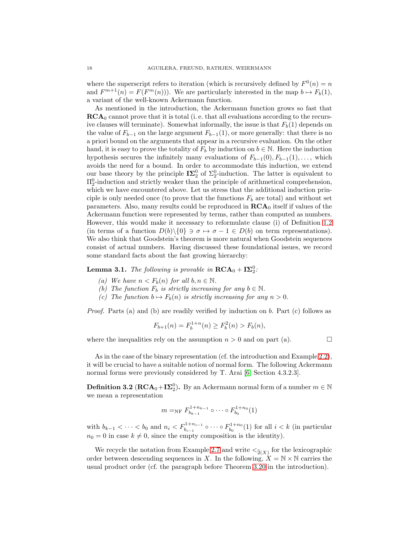where the superscript refers to iteration (which is recursively defined by  $F^0(n) = n$ and  $F^{m+1}(n) = F(F^m(n))$ . We are particularly interested in the map  $b \mapsto F_b(1)$ , a variant of the well-known Ackermann function.

As mentioned in the introduction, the Ackermann function grows so fast that  $\mathbf{RCA}_0$  cannot prove that it is total (i.e. that all evaluations according to the recursive clauses will terminate). Somewhat informally, the issue is that  $F<sub>b</sub>(1)$  depends on the value of  $F_{b-1}$  on the large argument  $F_{b-1}(1)$ , or more generally: that there is no a priori bound on the arguments that appear in a recursive evaluation. On the other hand, it is easy to prove the totality of  $F_b$  by induction on  $b \in \mathbb{N}$ . Here the induction hypothesis secures the infinitely many evaluations of  $F_{b-1}(0), F_{b-1}(1), \ldots$ , which avoids the need for a bound. In order to accommodate this induction, we extend our base theory by the principle  $\mathbf{I}\mathbf{\Sigma}_2^0$  of  $\Sigma_2^0$ -induction. The latter is equivalent to  $\Pi_2^0$ -induction and strictly weaker than the principle of arithmetical comprehension, which we have encountered above. Let us stress that the additional induction principle is only needed once (to prove that the functions  $F_b$  are total) and without set parameters. Also, many results could be reproduced in  $\mathbf{RCA}_0$  itself if values of the Ackermann function were represented by terms, rather than computed as numbers. However, this would make it necessary to reformulate clause (i) of Definition [1.2](#page-4-0) (in terms of a function  $D(b)\setminus\{0\} \ni \sigma \mapsto \sigma - 1 \in D(b)$  on term representations). We also think that Goodstein's theorem is more natural when Goodstein sequences consist of actual numbers. Having discussed these foundational issues, we record some standard facts about the fast growing hierarchy:

## <span id="page-17-0"></span>**Lemma 3.1.** The following is provable in  $\mathbf{RCA}_0 + \mathbf{I}\mathbf{\Sigma}_2^0$ .

- (a) We have  $n < F_b(n)$  for all  $b, n \in \mathbb{N}$ .
- (b) The function  $F_b$  is strictly increasing for any  $b \in \mathbb{N}$ .
- (c) The function  $b \mapsto F_b(n)$  is strictly increasing for any  $n > 0$ .

Proof. Parts (a) and (b) are readily verified by induction on b. Part (c) follows as

$$
F_{b+1}(n) = F_b^{1+n}(n) \ge F_b^2(n) > F_b(n),
$$

where the inequalities rely on the assumption  $n > 0$  and on part (a).

As in the case of the binary representation (cf. the introduction and Example [2.2\)](#page-7-1), it will be crucial to have a suitable notion of normal form. The following Ackermann normal forms were previously considered by T. Arai [\[6,](#page-35-22) Section 4.3.2.3].

<span id="page-17-1"></span>**Definition 3.2** ( $\text{RCA}_0 + I\Sigma^0_2$ ). By an Ackermann normal form of a number  $m \in \mathbb{N}$ we mean a representation

$$
m =_{\rm NF} F_{b_{k-1}}^{1+n_{k-1}} \circ \cdots \circ F_{b_0}^{1+n_0}(1)
$$

with  $b_{k-1} < \cdots < b_0$  and  $n_i < F_{b_{i-1}}^{1+n_{i-1}} \circ \cdots \circ F_{b_0}^{1+n_0}(1)$  for all  $i < k$  (in particular  $n_0 = 0$  in case  $k \neq 0$ , since the empty composition is the identity).

We recycle the notation from Example [2.7](#page-12-1) and write  $\lt_{\hat{2}(X)}$  for the lexicographic order between descending sequences in X. In the following,  $X = N \times N$  carries the usual product order (cf. the paragraph before Theorem [3.20](#page-31-0) in the introduction).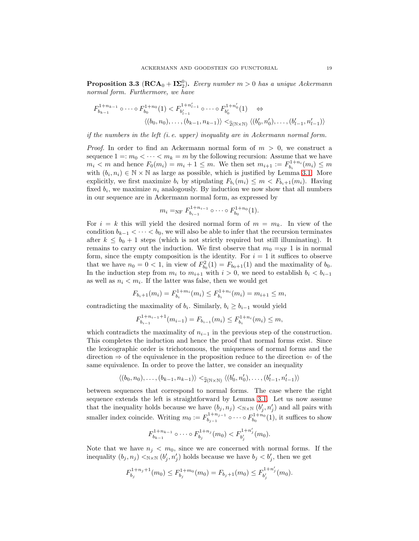<span id="page-18-0"></span>**Proposition 3.3** ( $\text{RCA}_0 + \text{I}\Sigma_2^0$ ). Every number  $m > 0$  has a unique Ackermann normal form. Furthermore, we have

$$
F_{b_{k-1}}^{1+n_{k-1}} \circ \cdots \circ F_{b_0}^{1+n_0}(1) < F_{b'_{l-1}}^{1+n'_{l-1}} \circ \cdots \circ F_{b'_0}^{1+n'_0}(1) \quad \Leftrightarrow
$$
\n
$$
\langle (b_0, n_0), \dots, (b_{k-1}, n_{k-1}) \rangle <_{\widehat{2}(\mathbb{N} \times \mathbb{N})} \langle (b'_0, n'_0), \dots, (b'_{l-1}, n'_{l-1}) \rangle
$$

if the numbers in the left (i.e. upper) inequality are in Ackermann normal form.

*Proof.* In order to find an Ackermann normal form of  $m > 0$ , we construct a sequence  $1 =: m_0 < \cdots < m_k = m$  by the following recursion: Assume that we have  $m_i < m$  and hence  $F_0(m_i) = m_i + 1 \leq m$ . We then set  $m_{i+1} := F_{b_i}^{1+n_i}(m_i) \leq m$ with  $(b_i, n_i) \in \mathbb{N} \times \mathbb{N}$  as large as possible, which is justified by Lemma [3.1.](#page-17-0) More explicitly, we first maximize  $b_i$  by stipulating  $F_{b_i}(m_i) \leq m < F_{b_i+1}(m_i)$ . Having fixed  $b_i$ , we maximize  $n_i$  analogously. By induction we now show that all numbers in our sequence are in Ackermann normal form, as expressed by

$$
m_i =_{\rm NF} F_{b_{i-1}}^{1+n_{i-1}} \circ \cdots \circ F_{b_0}^{1+n_0}(1).
$$

For  $i = k$  this will yield the desired normal form of  $m = m_k$ . In view of the condition  $b_{k-1} < \cdots < b_0$ , we will also be able to infer that the recursion terminates after  $k \leq b_0 + 1$  steps (which is not strictly required but still illuminating). It remains to carry out the induction. We first observe that  $m_0 =_{\text{NF}} 1$  is in normal form, since the empty composition is the identity. For  $i = 1$  it suffices to observe that we have  $n_0 = 0 < 1$ , in view of  $F_{b_0}^2(1) = F_{b_0+1}(1)$  and the maximality of  $b_0$ . In the induction step from  $m_i$  to  $m_{i+1}$  with  $i > 0$ , we need to establish  $b_i < b_{i-1}$ as well as  $n_i < m_i$ . If the latter was false, then we would get

$$
F_{b_i+1}(m_i) = F_{b_i}^{1+m_i}(m_i) \le F_{b_i}^{1+n_i}(m_i) = m_{i+1} \le m,
$$

contradicting the maximality of  $b_i$ . Similarly,  $b_i \geq b_{i-1}$  would yield

$$
F_{b_{i-1}}^{1+n_{i-1}+1}(m_{i-1}) = F_{b_{i-1}}(m_i) \le F_{b_i}^{1+n_i}(m_i) \le m,
$$

which contradicts the maximality of  $n_{i-1}$  in the previous step of the construction. This completes the induction and hence the proof that normal forms exist. Since the lexicographic order is trichotomous, the uniqueness of normal forms and the direction  $\Rightarrow$  of the equivalence in the proposition reduce to the direction  $\Leftarrow$  of the same equivalence. In order to prove the latter, we consider an inequality

$$
\langle (b_0, n_0), \ldots, (b_{k-1}, n_{k-1}) \rangle <_{\widehat{2}(N \times N)} \langle (b'_0, n'_0), \ldots, (b'_{l-1}, n'_{l-1}) \rangle
$$

between sequences that correspond to normal forms. The case where the right sequence extends the left is straightforward by Lemma [3.1.](#page-17-0) Let us now assume that the inequality holds because we have  $(b_j, n_j) <_{\mathbb{N} \times \mathbb{N}} (b'_j, n'_j)$  and all pairs with smaller index coincide. Writing  $m_0 := F_{b_{i-1}}^{1+n_{j-1}}$  $b_{b-1}^{1+n_{j-1}}$  o  $\cdots$  o  $F_{b_0}^{1+n_0}(1)$ , it suffices to show

$$
F_{b_{k-1}}^{1+n_{k-1}} \circ \cdots \circ F_{b_j}^{1+n_j}(m_0) < F_{b'_j}^{1+n'_j}(m_0).
$$

Note that we have  $n_i < m_0$ , since we are concerned with normal forms. If the inequality  $(b_j, n_j) <_{N \times N} (b'_j, n'_j)$  holds because we have  $b_j < b'_j$ , then we get

$$
F_{b_j}^{1+n_j+1}(m_0) \le F_{b_j}^{1+m_0}(m_0) = F_{b_j+1}(m_0) \le F_{b'_j}^{1+n'_j}(m_0).
$$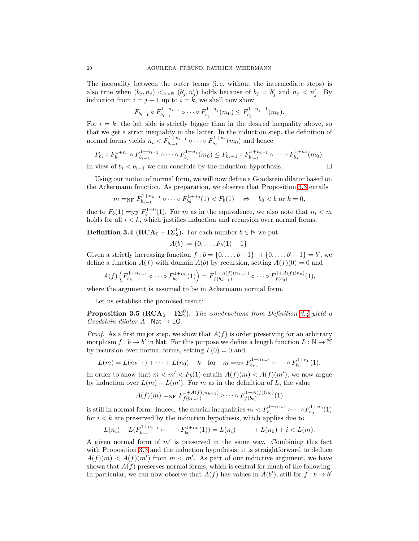The inequality between the outer terms (i. e. without the intermediate steps) is also true when  $(b_j, n_j) \le_{N \times N} (b'_j, n'_j)$  holds because of  $b_j = b'_j$  and  $n_j \le n'_j$ . By induction from  $i = j + 1$  up to  $i = \tilde{k}$ , we shall now show

$$
F_{b_{i-1}} \circ F_{b_{i-1}}^{1+n_{i-1}} \circ \cdots \circ F_{b_j}^{1+n_j}(m_0) \leq F_{b_j}^{1+n_j+1}(m_0).
$$

For  $i = k$ , the left side is strictly bigger than in the desired inequality above, so that we get a strict inequality in the latter. In the induction step, the definition of normal forms yields  $n_i < F_{b_{i-1}}^{1+n_{i-1}} \circ \cdots \circ F_{b_j}^{1+n_j}$  $b_j^{1+n_j}(m_0)$  and hence

$$
F_{b_i} \circ F_{b_i}^{1+n_i} \circ F_{b_{i-1}}^{1+n_{i-1}} \circ \cdots \circ F_{b_j}^{1+n_j}(m_0) \leq F_{b_i+1} \circ F_{b_{i-1}}^{1+n_{i-1}} \circ \cdots \circ F_{b_j}^{1+n_j}(m_0).
$$

In view of  $b_i < b_{i-1}$  we can conclude by the induction hypothesis.  $□$ 

$$
\overline{\phantom{0}}
$$

Using our notion of normal form, we will now define a Goodstein dilator based on the Ackermann function. As preparation, we observe that Proposition [3.3](#page-18-0) entails

$$
m =_{\rm NF} F_{b_{k-1}}^{1+n_{k-1}} \circ \cdots \circ F_{b_0}^{1+n_0}(1) < F_b(1) \quad \Leftrightarrow \quad b_0 < b \text{ or } k = 0,
$$

due to  $F_b(1) =_{\text{NF}} F_b^{1+0}(1)$ . For m as in the equivalence, we also note that  $n_i < m$ holds for all  $i < k$ , which justifies induction and recursion over normal forms.

<span id="page-19-0"></span>**Definition 3.4** ( $\mathbf{RCA}_0 + \mathbf{I}\mathbf{\Sigma}_2^0$ ). For each number  $b \in \mathbb{N}$  we put

$$
A(b) := \{0, \ldots, F_b(1) - 1\}.
$$

Given a strictly increasing function  $f : b = \{0, \ldots, b-1\} \rightarrow \{0, \ldots, b'-1\} = b'$ , we define a function  $A(f)$  with domain  $A(b)$  by recursion, setting  $A(f)(0) = 0$  and

$$
A(f)\left(F_{b_{k-1}}^{1+n_{k-1}} \circ \cdots \circ F_{b_0}^{1+n_0}(1)\right) = F_{f(b_{k-1})}^{1+A(f)(n_{k-1})} \circ \cdots \circ F_{f(b_0)}^{1+A(f)(n_0)}(1),
$$

where the argument is assumed to be in Ackermann normal form.

Let us establish the promised result:

<span id="page-19-1"></span>**Proposition 3.5** ( $\text{RCA}_0 + \text{I}\Sigma_2^0$ ). The constructions from Definition [3.4](#page-19-0) yield a  $Goodstein$  dilator  $A : Nat \rightarrow LO$ .

*Proof.* As a first major step, we show that  $A(f)$  is order preserving for an arbitrary morphism  $f : b \to b'$  in Nat. For this purpose we define a length function  $L : \mathbb{N} \to \mathbb{N}$ by recursion over normal forms, setting  $L(0) = 0$  and

$$
L(m) = L(n_{k-1}) + \cdots + L(n_0) + k \quad \text{for} \quad m =_{\rm NF} F_{b_{k-1}}^{1+n_{k-1}} \circ \cdots \circ F_{b_0}^{1+n_0}(1).
$$

In order to show that  $m < m' < F_b(1)$  entails  $A(f)(m) < A(f)(m')$ , we now argue by induction over  $L(m) + L(m')$ . For m as in the definition of L, the value

$$
A(f)(m) =_{\rm NF} F_{f(b_{k-1})}^{1+A(f)(n_{k-1})} \circ \cdots \circ F_{f(b_0)}^{1+A(f)(n_0)}(1)
$$

is still in normal form. Indeed, the crucial inequalities  $n_i < F_{b_{i-1}}^{1+n_{i-1}} \circ \cdots \circ F_{b_0}^{1+n_0}(1)$ for  $i < k$  are preserved by the induction hypothesis, which applies due to

$$
L(n_i) + L(F_{b_{i-1}}^{1+n_{i-1}} \circ \cdots \circ F_{b_0}^{1+n_0}(1)) = L(n_i) + \cdots + L(n_0) + i < L(m).
$$

A given normal form of  $m'$  is preserved in the same way. Combining this fact with Proposition [3.3](#page-18-0) and the induction hypothesis, it is straightforward to deduce  $A(f)(m) < A(f)(m')$  from  $m < m'$ . As part of our inductive argument, we have shown that  $A(f)$  preserves normal forms, which is central for much of the following. In particular, we can now observe that  $A(f)$  has values in  $A(b')$ , still for  $f : b \to b'$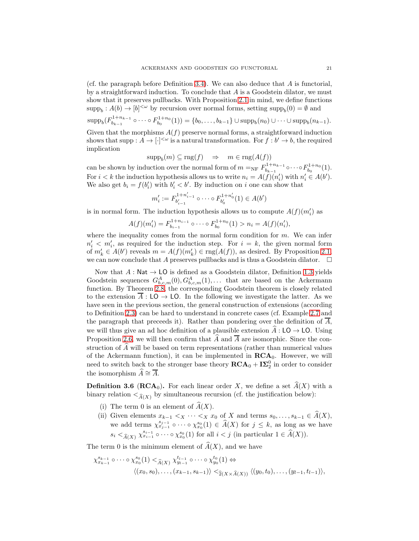(cf. the paragraph before Definition [3.4\)](#page-19-0). We can also deduce that  $A$  is functorial, by a straightforward induction. To conclude that  $A$  is a Goodstein dilator, we must show that it preserves pullbacks. With Proposition [2.1](#page-7-0) in mind, we define functions  $\text{supp}_b: A(b) \to [b]^{<\omega}$  by recursion over normal forms, setting  $\text{supp}_b(0) = \emptyset$  and  $\mathrm{supp}_b(F^{1+n_{k-1}}_{b_{k-1}})$ <sup>1+n<sub>k−1</sub></sub> o · · · o  $F_{b_0}^{1+n_0}(1)$  = {b<sub>0</sub>, . · · , b<sub>k−1</sub>} ∪ supp<sub>b</sub>(n<sub>0</sub>) ∪ · · · ∪ supp<sub>b</sub>(n<sub>k−1</sub>).</sup> Given that the morphisms  $A(f)$  preserve normal forms, a straightforward induction shows that supp :  $A \to [\cdot]^{<\omega}$  is a natural transformation. For  $f : b' \to b$ , the required implication

$$
supp_b(m) \subseteq rng(f) \quad \Rightarrow \quad m \in rng(A(f))
$$

can be shown by induction over the normal form of  $m =_{NF} F_{b_{k-1}}^{1+n_{k-1}}$  $b_{k-1}^{1+n_{k-1}} \circ \cdots \circ F_{b_0}^{1+n_0}(1)$ . For  $i < k$  the induction hypothesis allows us to write  $n_i = A(f)(n'_i)$  with  $n'_i \in A(b')$ . We also get  $b_i = f(b'_i)$  with  $b'_i < b'$ . By induction on i one can show that

$$
m'_i := F_{b'_{i-1}}^{1+n'_{i-1}} \circ \cdots \circ F_{b'_0}^{1+n'_0}(1) \in A(b')
$$

is in normal form. The induction hypothesis allows us to compute  $A(f)(m'_i)$  as

$$
A(f)(m'_i) = F_{b_{i-1}}^{1+n_{i-1}} \circ \cdots \circ F_{b_0}^{1+n_0}(1) > n_i = A(f)(n'_i),
$$

where the inequality comes from the normal form condition for  $m$ . We can infer  $n'_i < m'_i$ , as required for the induction step. For  $i = k$ , the given normal form of  $m'_k \in A(b')$  reveals  $m = A(f)(m'_k) \in \text{rng}(A(f))$ , as desired. By Proposition [2.1,](#page-7-0) we can now conclude that A preserves pullbacks and is thus a Goodstein dilator.  $\Box$ 

Now that  $A : \mathsf{Nat} \to \mathsf{LO}$  is defined as a Goodstein dilator, Definition [1.3](#page-6-0) yields Goodstein sequences  $G_{b,c,m}^A(0), G_{b,c,m}^A(1), \ldots$  that are based on the Ackermann function. By Theorem [2.8,](#page-12-0) the corresponding Goodstein theorem is closely related to the extension  $A: \mathsf{LO} \to \mathsf{LO}$ . In the following we investigate the latter. As we have seen in the previous section, the general construction of extensions (according to Definition [2.3\)](#page-9-0) can be hard to understand in concrete cases (cf. Example [2.7](#page-12-1) and the paragraph that preceeds it). Rather than pondering over the definition of  $\overline{A}$ , we will thus give an ad hoc definition of a plausible extension  $\widehat{A}: LO \to LO$ . Using Proposition [2.6,](#page-11-0) we will then confirm that  $\widehat{A}$  and  $\overline{A}$  are isomorphic. Since the construction of  $\widehat{A}$  will be based on term representations (rather than numerical values of the Ackermann function), it can be implemented in  $\mathbf{RCA}_0$ . However, we will need to switch back to the stronger base theory  $\mathbf{RCA}_0 + \mathbf{I}\mathbf{\Sigma}_2^0$  in order to consider the isomorphism  $\widehat{A} \cong \overline{A}$ .

<span id="page-20-0"></span>**Definition 3.6 (RCA<sub>0</sub>).** For each linear order X, we define a set  $A(X)$  with a binary relation  $\langle \hat{A}(X) \rangle$  by simultaneous recursion (cf. the justification below):

- (i) The term 0 is an element of  $\widehat{A}(X)$ .
- (ii) Given elements  $x_{k-1} < x \cdots < x$   $x_0$  of X and terms  $s_0, \ldots, s_{k-1} \in A(X)$ , we add terms  $\chi^{s_{j-1}}_{x_{j-1}} \circ \cdots \circ \chi^{s_0}_{x_0}(1) \in \widehat{A}(X)$  for  $j \leq k$ , as long as we have  $s_i <_{\widehat{A}(X)} \chi_{x_{i-1}}^{s_{i-1}} \circ \cdots \circ \chi_{x_0}^{s_0}(1)$  for all  $i < j$  (in particular  $1 \in \widehat{A}(X)$ ).

The term 0 is the minimum element of  $\widehat{A}(X)$ , and we have

$$
\chi_{x_{k-1}}^{s_{k-1}} \circ \cdots \circ \chi_{x_0}^{s_0}(1) <_{\widehat{A}(X)} \chi_{y_{l-1}}^{t_{l-1}} \circ \cdots \circ \chi_{y_0}^{t_0}(1) \Leftrightarrow
$$
\n
$$
\langle (x_0, s_0), \dots, (x_{k-1}, s_{k-1}) \rangle <_{\widehat{2}(X \times \widehat{A}(X))} \langle (y_0, t_0), \dots, (y_{l-1}, t_{l-1}) \rangle,
$$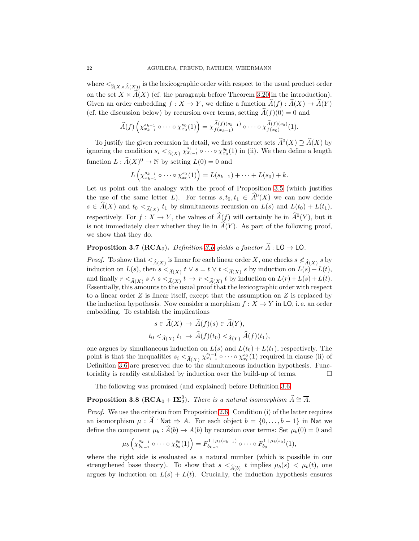where  $\langle \hat{z}(X \times \hat{A}(X)) \rangle$  is the lexicographic order with respect to the usual product order on the set  $X \times \widehat{A}(X)$  (cf. the paragraph before Theorem [3.20](#page-31-0) in the introduction). Given an order embedding  $f : X \to Y$ , we define a function  $\widehat{A}(f) : \widehat{A}(X) \to \widehat{A}(Y)$ (cf. the discussion below) by recursion over terms, setting  $\hat{A}(f)(0) = 0$  and

$$
\widehat{A}(f)\left(\chi_{x_{k-1}}^{s_{k-1}} \circ \cdots \circ \chi_{x_0}^{s_0}(1)\right) = \chi_{f(x_{k-1})}^{\widehat{A}(f)(s_{k-1})} \circ \cdots \circ \chi_{f(x_0)}^{\widehat{A}(f)(s_0)}(1).
$$

To justify the given recursion in detail, we first construct sets  $\widehat{A}^0(X) \supseteq \widehat{A}(X)$  by ignoring the condition  $s_i <_{\widehat{A}(X)} \chi_{x_{i-1}}^{s_{i-1}} \circ \cdots \circ \chi_{x_0}^{s_0}(1)$  in (ii). We then define a length function  $L : \widehat{A}(X)^0 \to \mathbb{N}$  by setting  $L(0) = 0$  and

$$
L\left(\chi_{x_{k-1}}^{s_{k-1}} \circ \cdots \circ \chi_{x_0}^{s_0}(1)\right) = L(s_{k-1}) + \cdots + L(s_0) + k.
$$

Let us point out the analogy with the proof of Proposition [3.5](#page-19-1) (which justifies the use of the same letter L). For terms  $s, t_0, t_1 \in \hat{A}^0(X)$  we can now decide  $s \in A(X)$  and  $t_0 <_{\widehat{A}(X)} t_1$  by simultaneous recursion on  $L(s)$  and  $L(t_0) + L(t_1)$ , respectively. For  $f: X \to Y$ , the values of  $\hat{A}(f)$  will certainly lie in  $\hat{A}^0(Y)$ , but it is not immediately clear whether they lie in  $\widehat{A}(Y)$ . As part of the following proof, we show that they do.

### **Proposition 3.7** ( $\text{RCA}_0$ ). Definition [3.6](#page-20-0) yields a functor  $\widehat{A}$ : LO  $\rightarrow$  LO.

*Proof.* To show that  $\lt_{\widehat{A}(X)}$  is linear for each linear order X, one checks  $s \nless_{\widehat{A}(X)} s$  by induction on  $L(s)$ , then  $s <_{\widehat{A}(X)} t \vee s = t \vee t <_{\widehat{A}(X)} s$  by induction on  $L(s) + L(t)$ , and finally  $r <_{\widehat{A}(X)} s \wedge s <_{\widehat{A}(X)} t \rightarrow r <_{\widehat{A}(X)} t$  by induction on  $L(r) + L(s) + L(t)$ . Essentially, this amounts to the usual proof that the lexicographic order with respect to a linear order  $Z$  is linear itself, except that the assumption on  $Z$  is replaced by the induction hypothesis. Now consider a morphism  $f : X \to Y$  in LO, i. e. an order embedding. To establish the implications

$$
s \in \widehat{A}(X) \to \widehat{A}(f)(s) \in \widehat{A}(Y),
$$
  

$$
t_0 <_{\widehat{A}(X)} t_1 \to \widehat{A}(f)(t_0) <_{\widehat{A}(Y)} \widehat{A}(f)(t_1),
$$

one argues by simultaneous induction on  $L(s)$  and  $L(t_0) + L(t_1)$ , respectively. The point is that the inequalities  $s_i <_{\widehat{A}(X)} \chi_{x_{i-1}}^{s_{i-1}} \circ \cdots \circ \chi_{x_0}^{s_0}(1)$  required in clause (ii) of Definition [3.6](#page-20-0) are preserved due to the simultaneous induction hypothesis. Functoriality is readily established by induction over the build-up of terms.  $\Box$ 

The following was promised (and explained) before Definition [3.6.](#page-20-0)

# <span id="page-21-0"></span>**Proposition 3.8** ( $\mathbf{RCA}_0 + \mathbf{I}\mathbf{\Sigma}_2^0$ ). There is a natural isomorphism  $\widehat{A} \cong \overline{A}$ .

Proof. We use the criterion from Proposition [2.6.](#page-11-0) Condition (i) of the latter requires an isomorphism  $\mu : \widehat{A} \upharpoonright \mathsf{Nat} \Rightarrow A$ . For each object  $b = \{0, \ldots, b - 1\}$  in Nat we define the component  $\mu_b : \hat{A}(b) \to A(b)$  by recursion over terms: Set  $\mu_b(0) = 0$  and

$$
\mu_b\left(\chi_{b_{k-1}}^{s_{k-1}} \circ \cdots \circ \chi_{b_0}^{s_0}(1)\right) = F_{b_{k-1}}^{1+\mu_b(s_{k-1})} \circ \cdots \circ F_{b_0}^{1+\mu_b(s_0)}(1),
$$

where the right side is evaluated as a natural number (which is possible in our strengthened base theory). To show that  $s <_{\widehat{A}(b)} t$  implies  $\mu_b(s) < \mu_b(t)$ , one argues by induction on  $L(s) + L(t)$ . Crucially, the induction hypothesis ensures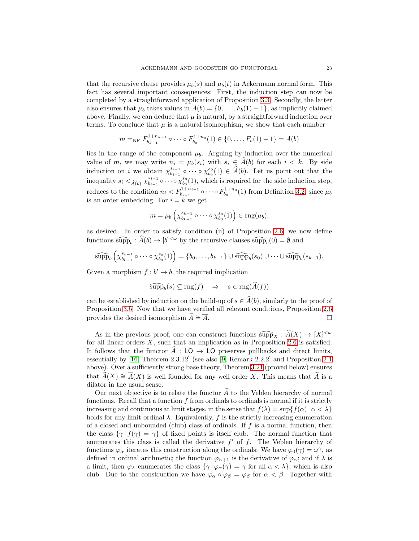that the recursive clause provides  $\mu_b(s)$  and  $\mu_b(t)$  in Ackermann normal form. This fact has several important consequences: First, the induction step can now be completed by a straightforward application of Proposition [3.3.](#page-18-0) Secondly, the latter also ensures that  $\mu_b$  takes values in  $A(b) = \{0, \ldots, F_b(1) - 1\}$ , as implicitly claimed above. Finally, we can deduce that  $\mu$  is natural, by a straightforward induction over terms. To conclude that  $\mu$  is a natural isomorphism, we show that each number

$$
m =_{\rm NF} F_{b_{k-1}}^{1+n_{k-1}} \circ \cdots \circ F_{b_0}^{1+n_0}(1) \in \{0, \ldots, F_b(1) - 1\} = A(b)
$$

lies in the range of the component  $\mu_b$ . Arguing by induction over the numerical value of m, we may write  $n_i = \mu_b(s_i)$  with  $s_i \in \hat{A}(b)$  for each  $i < k$ . By side induction on *i* we obtain  $\chi_{b_{i-1}}^{s_{i-1}}$  $\delta_{b_{i-1}}^{s_{i-1}}$  o  $\cdots$  o  $\chi_{b_0}^{s_0}(1) \in \hat{A}(b)$ . Let us point out that the inequality  $s_i <_{\widehat{A}(b)} \chi_{b_{i-1}}^{s_{i-1}}$  $\sum_{b_{i-1}}^{s_{i-1}}$  o · · · o  $\chi_{b_0}^{s_0}(1)$ , which is required for the side induction step, reduces to the condition  $n_i < F_{b_{i-1}}^{1+n_{i-1}} \circ \cdots \circ F_{b_0}^{1+n_0}(1)$  from Definition [3.2,](#page-17-1) since  $\mu_b$ is an order embedding. For  $i = k$  we get

$$
m = \mu_b \left( \chi_{b_{k-1}}^{s_{k-1}} \circ \cdots \circ \chi_{b_0}^{s_0}(1) \right) \in \text{rng}(\mu_b),
$$

as desired. In order to satisfy condition (ii) of Proposition [2.6,](#page-11-0) we now define functions  $\widehat{\text{supp}}_b : \widehat{A}(b) \to [b]^{<\omega}$  by the recursive clauses  $\widehat{\text{supp}}_b(0) = \emptyset$  and

$$
\widehat{\mathrm{supp}}_b\left(\chi_{b_{k-1}}^{s_{k-1}}\circ\cdots\circ\chi_{b_0}^{s_0}(1)\right)=\{b_0,\ldots,b_{k-1}\}\cup\widehat{\mathrm{supp}}_b(s_0)\cup\cdots\cup\widehat{\mathrm{supp}}_b(s_{k-1}).
$$

Given a morphism  $f : b' \to b$ , the required implication

$$
\widehat{\text{supp}}_b(s) \subseteq \text{rng}(f) \quad \Rightarrow \quad s \in \text{rng}(A(f))
$$

can be established by induction on the build-up of  $s \in \hat{A}(b)$ , similarly to the proof of Proposition [3.5.](#page-19-1) Now that we have verified all relevant conditions, Proposition [2.6](#page-11-0) provides the desired isomorphism  $A \cong \overline{A}$ .

As in the previous proof, one can construct functions  $\widehat{\text{supp}}_X : \widehat{A}(X) \to [X]^{<\omega}$ for all linear orders  $X$ , such that an implication as in Proposition [2.6](#page-11-0) is satisfied. It follows that the functor  $\hat{A}$  : LO  $\rightarrow$  LO preserves pullbacks and direct limits, essentially by [\[16,](#page-35-9) Theorem 2.3.12] (see also [\[9,](#page-35-23) Remark 2.2.2] and Proposition [2.1](#page-7-0) above). Over a sufficiently strong base theory, Theorem [3.21](#page-31-1) (proved below) ensures that  $\hat{A}(X) \cong \overline{A}(X)$  is well founded for any well order X. This means that  $\hat{A}$  is a dilator in the usual sense.

Our next objective is to relate the functor  $\widehat{A}$  to the Veblen hierarchy of normal functions. Recall that a function  $f$  from ordinals to ordinals is normal if it is strictly increasing and continuous at limit stages, in the sense that  $f(\lambda) = \sup\{f(\alpha) | \alpha < \lambda\}$ holds for any limit ordinal  $\lambda$ . Equivalently, f is the strictly increasing enumeration of a closed and unbounded (club) class of ordinals. If  $f$  is a normal function, then the class  $\{\gamma | f(\gamma) = \gamma\}$  of fixed points is itself club. The normal function that enumerates this class is called the derivative  $f'$  of  $f$ . The Veblen hierarchy of functions  $\varphi_{\alpha}$  iterates this construction along the ordinals: We have  $\varphi_0(\gamma) = \omega^{\gamma}$ , as defined in ordinal arithmetic; the function  $\varphi_{\alpha+1}$  is the derivative of  $\varphi_{\alpha}$ ; and if  $\lambda$  is a limit, then  $\varphi_{\lambda}$  enumerates the class  $\{\gamma | \varphi_{\alpha}(\gamma) = \gamma \text{ for all } \alpha < \lambda\}$ , which is also club. Due to the construction we have  $\varphi_{\alpha} \circ \varphi_{\beta} = \varphi_{\beta}$  for  $\alpha < \beta$ . Together with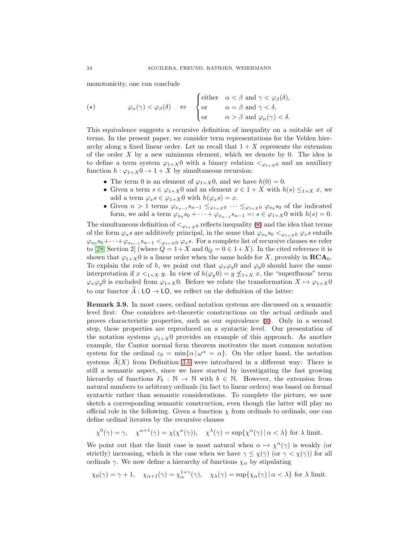monotonicity, one can conclude

<span id="page-23-0"></span>
$$
(\star) \qquad \qquad \varphi_{\alpha}(\gamma) < \varphi_{\beta}(\delta) \quad \Leftrightarrow \quad \begin{cases} \text{either} & \alpha < \beta \text{ and } \gamma < \varphi_{\beta}(\delta), \\ \text{or} & \alpha = \beta \text{ and } \gamma < \delta, \\ \text{or} & \alpha > \beta \text{ and } \varphi_{\alpha}(\gamma) < \delta. \end{cases}
$$

This equivalence suggests a recursive definition of inequality on a suitable set of terms. In the present paper, we consider term representations for the Veblen hierarchy along a fixed linear order. Let us recall that  $1 + X$  represents the extension of the order  $X$  by a new minimum element, which we denote by 0. The idea is to define a term system  $\varphi_{1+X}$ 0 with a binary relation  $\langle \varphi_{1+X}$  and an auxiliary function  $h: \varphi_{1+X}0 \to 1+X$  by simultaneous recursion:

- The term 0 is an element of  $\varphi_{1+X}$ 0, and we have  $h(0) = 0$ .
- Given a term  $s \in \varphi_{1+X}$ 0 and an element  $x \in 1+X$  with  $h(s) \leq_{1+X} x$ , we add a term  $\varphi_x s \in \varphi_{1+X}0$  with  $h(\varphi_x s) = x$ .
- Given  $n > 1$  terms  $\varphi_{x_{n-1}} s_{n-1} \leq_{\varphi_{1+X}0} \cdots \leq_{\varphi_{1+X}0} \varphi_{x_0} s_0$  of the indicated form, we add a term  $\varphi_{x_0} s_0 + \cdots + \varphi_{x_{n-1}} s_{n-1} =: s \in \varphi_{1+X} 0$  with  $h(s) = 0$ .

The simultaneous definition of  $\langle \varphi_{1+X} \rangle$  reflects inequality  $(\star)$  and the idea that terms of the form  $\varphi_x s$  are additively principal, in the sense that  $\varphi_{x_0} s_0 <_{\varphi_{1+X} 0} \varphi_x s$  entails  $\varphi_{x_0} s_0 + \cdots + \varphi_{x_{n-1}} s_{n-1} <_{\varphi_{1+X} 0} \varphi_x s$ . For a complete list of recursive clauses we refer to [\[28,](#page-36-2) Section 2] (where  $Q = 1+X$  and  $0_Q = 0 \in 1+X$ ). In the cited reference it is shown that  $\varphi_{1+X}$ 0 is a linear order when the same holds for X, provably in  $\mathbf{RCA}_0$ . To explain the role of h, we point out that  $\varphi_x \varphi_y 0$  and  $\varphi_y 0$  should have the same interpretation if  $x \leq_{1+X} y$ . In view of  $h(\varphi_y 0) = y \leq_{1+X} x$ , the "superfluous" term  $\varphi_x \varphi_y 0$  is excluded from  $\varphi_{1+X} 0$ . Before we relate the transformation  $X \mapsto \varphi_{1+X} 0$ to our functor  $\hat{A}: \mathsf{LO} \to \mathsf{LO}$ , we reflect on the definition of the latter:

<span id="page-23-1"></span>Remark 3.9. In most cases, ordinal notation systems are discussed on a semantic level first: One considers set-theoretic constructions on the actual ordinals and proves characteristic properties, such as our equivalence  $(\star)$ . Only in a second step, these properties are reproduced on a syntactic level. Our presentation of the notation systems  $\varphi_{1+X}$ 0 provides an example of this approach. As another example, the Cantor normal form theorem motivates the most common notation system for the ordinal  $\varepsilon_0 = \min{\{\alpha \mid \omega^{\alpha} = \alpha\}}$ . On the other hand, the notation systems  $\hat{A}(X)$  from Definition [3.6](#page-20-0) were introduced in a different way: There is still a semantic aspect, since we have started by investigating the fast growing hierarchy of functions  $F_b : \mathbb{N} \to \mathbb{N}$  with  $b \in \mathbb{N}$ . However, the extension from natural numbers to arbitrary ordinals (in fact to linear orders) was based on formal syntactic rather than semantic considerations. To complete the picture, we now sketch a corresponding semantic construction, even though the latter will play no official role in the following. Given a function  $\chi$  from ordinals to ordinals, one can define ordinal iterates by the recursive clauses

$$
\chi^0(\gamma) = \gamma, \quad \chi^{\alpha+1}(\gamma) = \chi(\chi^{\alpha}(\gamma)), \quad \chi^{\lambda}(\gamma) = \sup \{ \chi^{\alpha}(\gamma) \mid \alpha < \lambda \} \text{ for } \lambda \text{ limit.}
$$

We point out that the limit case is most natural when  $\alpha \mapsto \chi^{\alpha}(\gamma)$  is weakly (or strictly) increasing, which is the case when we have  $\gamma \leq \chi(\gamma)$  (or  $\gamma < \chi(\gamma)$ ) for all ordinals  $\gamma$ . We now define a hierarchy of functions  $\chi_{\alpha}$  by stipulating

$$
\chi_0(\gamma) = \gamma + 1, \quad \chi_{\alpha+1}(\gamma) = \chi_{\alpha}^{1+\gamma}(\gamma), \quad \chi_{\lambda}(\gamma) = \sup \{ \chi_{\alpha}(\gamma) \mid \alpha < \lambda \} \text{ for } \lambda \text{ limit.}
$$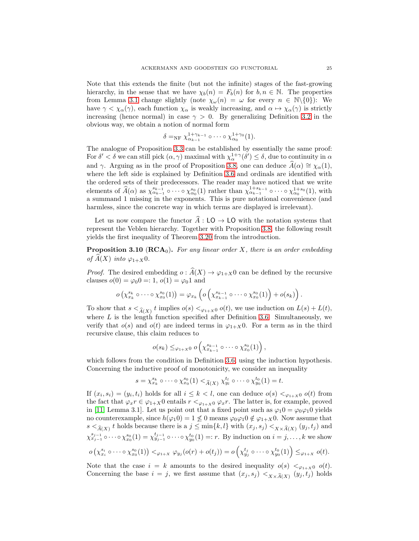Note that this extends the finite (but not the infinite) stages of the fast-growing hierarchy, in the sense that we have  $\chi_b(n) = F_b(n)$  for  $b, n \in \mathbb{N}$ . The properties from Lemma [3.1](#page-17-0) change slightly (note  $\chi_{\omega}(n) = \omega$  for every  $n \in \mathbb{N}\setminus\{0\}$ ): We have  $\gamma < \chi_{\alpha}(\gamma)$ , each function  $\chi_{\alpha}$  is weakly increasing, and  $\alpha \mapsto \chi_{\alpha}(\gamma)$  is strictly increasing (hence normal) in case  $\gamma > 0$ . By generalizing Definition [3.2](#page-17-1) in the obvious way, we obtain a notion of normal form

$$
\delta =_{\rm NF} \chi_{\alpha_{k-1}}^{1+\gamma_{k-1}} \circ \cdots \circ \chi_{\alpha_0}^{1+\gamma_0}(1).
$$

The analogue of Proposition [3.3](#page-18-0) can be established by essentially the same proof: For  $\delta' < \delta$  we can still pick  $(\alpha, \gamma)$  maximal with  $\chi^{1+\gamma}(\delta') \leq \delta$ , due to continuity in  $\alpha$ and γ. Arguing as in the proof of Proposition [3.8,](#page-21-0) one can deduce  $\hat{A}(\alpha) \cong \chi_{\alpha}(1)$ , where the left side is explained by Definition [3.6](#page-20-0) and ordinals are identified with the ordered sets of their predecessors. The reader may have noticed that we write elements of  $\widehat{A}(\alpha)$  as  $\chi_{\alpha_{k-1}}^{s_{k-1}} \circ \cdots \circ \chi_{\alpha_0}^{s_0}(1)$  rather than  $\chi_{\alpha_{k-1}}^{1+s_{k-1}} \circ \cdots \circ \chi_{\alpha_0}^{1+s_0}(1)$ , with a summand 1 missing in the exponents. This is pure notational convenience (and harmless, since the concrete way in which terms are displayed is irrelevant).

Let us now compare the functor  $\hat{A}: LO \to LO$  with the notation systems that represent the Veblen hierarchy. Together with Proposition [3.8,](#page-21-0) the following result yields the first inequality of Theorem [3.20](#page-31-0) from the introduction.

<span id="page-24-0"></span>**Proposition 3.10 (RCA<sub>0</sub>).** For any linear order X, there is an order embedding of  $\widehat{A}(X)$  into  $\varphi_{1+X}0$ .

*Proof.* The desired embedding  $o: \hat{A}(X) \to \varphi_{1+X}0$  can be defined by the recursive clauses  $o(0) = \varphi_0 0 =: 1, o(1) = \varphi_0 1$  and

$$
o\left(\chi_{x_k}^{s_k}\circ\cdots\circ\chi_{x_0}^{s_0}(1)\right)=\varphi_{x_k}\left(o\left(\chi_{x_{k-1}}^{s_{k-1}}\circ\cdots\circ\chi_{x_0}^{s_0}(1)\right)+o(s_k)\right).
$$

To show that  $s <_{\widehat{A}(X)} t$  implies  $o(s) <_{\varphi_{1+X}0} o(t)$ , we use induction on  $L(s) + L(t)$ , where  $L$  is the length function specified after Definition [3.6.](#page-20-0) Simultaneously, we verify that  $o(s)$  and  $o(t)$  are indeed terms in  $\varphi_{1+X}$ 0. For a term as in the third recursive clause, this claim reduces to

$$
o(s_k) \leq_{\varphi_{1+X}0} o\left(\chi_{x_{k-1}}^{s_{k-1}} \circ \cdots \circ \chi_{x_0}^{s_0}(1)\right),
$$

which follows from the condition in Definition [3.6,](#page-20-0) using the induction hypothesis. Concerning the inductive proof of monotonicity, we consider an inequality

$$
s = \chi_{x_k}^{s_k} \circ \cdots \circ \chi_{x_0}^{s_0}(1) <_{\widehat{A}(X)} \chi_{y_1}^{t_1} \circ \cdots \circ \chi_{y_0}^{t_0}(1) = t.
$$

If  $(x_i, s_i) = (y_i, t_i)$  holds for all  $i \leq k < l$ , one can deduce  $o(s) <_{\varphi_{1+X} 0} o(t)$  from the fact that  $\varphi_x r \in \varphi_{1+X}0$  entails  $r \leq_{\varphi_{1+X}0} \varphi_x r$ . The latter is, for example, proved in [\[11,](#page-35-24) Lemma 3.1]. Let us point out that a fixed point such as  $\varphi_1 0 = \varphi_0 \varphi_1 0$  yields no counterexample, since  $h(\varphi_1 0) = 1 \nleq 0$  means  $\varphi_0 \varphi_1 0 \notin \varphi_{1+X} 0$ . Now assume that  $s <_{\widehat{A}(X)} t$  holds because there is a  $j \le \min\{k, l\}$  with  $(x_j, s_j) <_{X \times \widehat{A}(X)} (y_j, t_j)$  and  $\chi_{x_{j-1}}^{s_{j-1}} \circ \cdots \circ \chi_{x_0}^{s_0}(1) = \chi_{y_{j-1}}^{t_{j-1}} \circ \cdots \circ \chi_{y_0}^{t_0}(1) =: r$ . By induction on  $i = j, \ldots, k$  we show  $o\left(\chi^{s_i}_{x_i} \circ \cdots \circ \chi^{s_0}_{x_0}(1)\right) <_{\varphi_{1+X}} \varphi_{y_j}(o(r) + o(t_j)) = o\left(\chi^{t_j}_{y_j} \circ \cdots \circ \chi^{t_0}_{y_0}(1)\right) \leq_{\varphi_{1+X}} o(t).$ 

Note that the case  $i = k$  amounts to the desired inequality  $o(s) <_{\varphi_{1+X}0} o(t)$ . Concerning the base  $i = j$ , we first assume that  $(x_j, s_j) <_{X \times \widehat{A}(X)} (y_j, t_j)$  holds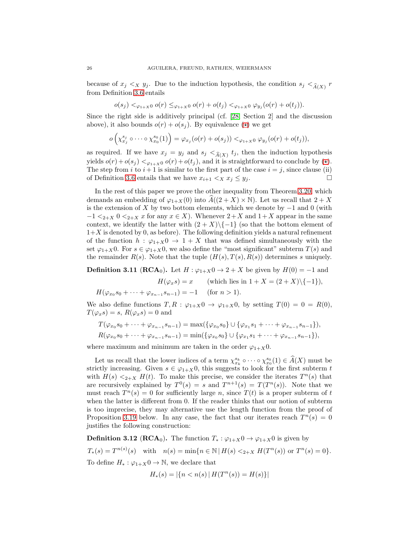because of  $x_j \lt x y_j$ . Due to the induction hypothesis, the condition  $s_j \lt \hat{A}(X)$  r from Definition [3.6](#page-20-0) entails

$$
o(s_j) <_{\varphi_{1+X}0} o(r) \leq_{\varphi_{1+X}0} o(r) + o(t_j) <_{\varphi_{1+X}0} \varphi_{y_j}(o(r) + o(t_j)).
$$

Since the right side is additively principal (cf. [\[28,](#page-36-2) Section 2] and the discussion above), it also bounds  $o(r) + o(s_i)$ . By equivalence  $(\star)$  we get

$$
o\left(\chi_{x_j}^{s_j}\circ\cdots\circ\chi_{x_0}^{s_0}(1)\right)=\varphi_{x_j}(o(r)+o(s_j))<_{\varphi_{1+X}0}\varphi_{y_j}(o(r)+o(t_j)),
$$

as required. If we have  $x_j = y_j$  and  $s_j  $\hat{A}(X)$  t<sub>j</sub>, then the induction hypothesis$ yields  $o(r) + o(s_j) <_{\varphi_{1+X}0} o(r) + o(t_j)$ , and it is straightforward to conclude by ( $\star$ ). The step from i to  $i + 1$  is similar to the first part of the case  $i = j$ , since clause (ii) of Definition [3.6](#page-20-0) entails that we have  $x_{i+1} \leq x \leq y_i$ .

In the rest of this paper we prove the other inequality from Theorem [3.20,](#page-31-0) which demands an embedding of  $\varphi_{1+X}(0)$  into  $A((2+X)\times \mathbb{N})$ . Let us recall that  $2+X$ is the extension of X by two bottom elements, which we denote by  $-1$  and 0 (with  $-1 \leq_{2+X} 0 \leq_{2+X} x$  for any  $x \in X$ ). Whenever  $2+X$  and  $1+X$  appear in the same context, we identify the latter with  $(2 + X)\{ -1 \}$  (so that the bottom element of  $1+X$  is denoted by 0, as before). The following definition yields a natural refinement of the function  $h : \varphi_{1+X}0 \to 1+X$  that was defined simultaneously with the set  $\varphi_{1+X}0$ . For  $s \in \varphi_{1+X}0$ , we also define the "most significant" subterm  $T(s)$  and the remainder  $R(s)$ . Note that the tuple  $(H(s), T(s), R(s))$  determines s uniquely.

<span id="page-25-0"></span>**Definition 3.11 (RCA<sub>0</sub>).** Let  $H: \varphi_{1+X} \neq 0 \rightarrow 2+X$  be given by  $H(0) = -1$  and

 $H(\varphi_x s) = x$  (which lies in  $1 + X = (2 + X)\{(-1\}),$  $H(\varphi_{x_0} s_0 + \cdots + \varphi_{x_{n-1}} s_{n-1}) = -1 \quad \text{(for } n > 1).$ 

We also define functions  $T, R : \varphi_{1+X} \mathbf{0} \to \varphi_{1+X} \mathbf{0}$ , by setting  $T(0) = 0 = R(0)$ ,  $T(\varphi_x s) = s, R(\varphi_x s) = 0$  and

$$
T(\varphi_{x_0}s_0 + \dots + \varphi_{x_{n-1}}s_{n-1}) = \max(\{\varphi_{x_0}s_0\} \cup \{\varphi_{x_1}s_1 + \dots + \varphi_{x_{n-1}}s_{n-1}\}),
$$
  

$$
R(\varphi_{x_0}s_0 + \dots + \varphi_{x_{n-1}}s_{n-1}) = \min(\{\varphi_{x_0}s_0\} \cup \{\varphi_{x_1}s_1 + \dots + \varphi_{x_{n-1}}s_{n-1}\}),
$$

where maximum and minimum are taken in the order  $\varphi_{1+X}0$ .

Let us recall that the lower indices of a term  $\chi_{x_k}^{s_k} \circ \cdots \circ \chi_{x_0}^{s_0}(1) \in \widehat{A}(X)$  must be strictly increasing. Given  $s \in \varphi_{1+X}0$ , this suggests to look for the first subterm t with  $H(s) \leq_{2+X} H(t)$ . To make this precise, we consider the iterates  $T^n(s)$  that are recursively explained by  $T^0(s) = s$  and  $T^{n+1}(s) = T(T^n(s))$ . Note that we must reach  $T^n(s) = 0$  for sufficiently large n, since  $T(t)$  is a proper subterm of t when the latter is different from 0. If the reader thinks that our notion of subterm is too imprecise, they may alternative use the length function from the proof of Proposition [3.19](#page-29-0) below. In any case, the fact that our iterates reach  $T^n(s) = 0$ justifies the following construction:

**Definition 3.12 (RCA**<sub>0</sub>). The function  $T_* : \varphi_{1+X} \mathbf{0} \to \varphi_{1+X} \mathbf{0}$  is given by  $T_*(s) = T^{n(s)}(s)$  with  $n(s) = \min\{n \in \mathbb{N} \mid H(s) \leq_{2+X} H(T^n(s)) \text{ or } T^n(s) = 0\}.$ To define  $H_* : \varphi_{1+X} 0 \to \mathbb{N}$ , we declare that

$$
H_*(s) = |\{n < n(s) \,|\, H(T^n(s)) = H(s)\}|
$$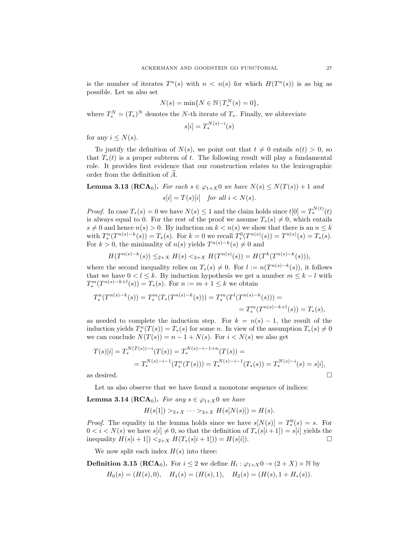is the number of iterates  $T^n(s)$  with  $n < n(s)$  for which  $H(T^n(s))$  is as big as possible. Let us also set

$$
N(s) = \min\{N \in \mathbb{N} \,|\, T_*^N(s) = 0\},\
$$

where  $T_*^N = (T_*)^N$  denotes the N-th iterate of  $T_*$ . Finally, we abbreviate

$$
s[i] = T_*^{N(s)-i}(s)
$$

for any  $i \leq N(s)$ .

To justify the definition of  $N(s)$ , we point out that  $t \neq 0$  entails  $n(t) > 0$ , so that  $T_*(t)$  is a proper subterm of t. The following result will play a fundamental role. It provides first evidence that our construction relates to the lexicographic order from the definition of  $\ddot{A}$ .

<span id="page-26-0"></span>**Lemma 3.13 (RCA**<sub>0</sub>). For each  $s \in \varphi_{1+X}0$  we have  $N(s) \leq N(T(s)) + 1$  and  $s[i] = T(s)[i]$  for all  $i < N(s)$ .

*Proof.* In case  $T_*(s) = 0$  we have  $N(s) \leq 1$  and the claim holds since  $t[0] = T_*^{N(t)}(t)$ is always equal to 0. For the rest of the proof we assume  $T_*(s) \neq 0$ , which entails  $s \neq 0$  and hence  $n(s) > 0$ . By induction on  $k < n(s)$  we show that there is an  $n \leq k$ with  $T_*^n(T^{n(s)-k}(s)) = T_*(s)$ . For  $k = 0$  we recall  $T_*^0(T^{n(s)}(s)) = T^{n(s)}(s) = T_*(s)$ . For  $k > 0$ , the minimality of  $n(s)$  yields  $T^{n(s)-k}(s) \neq 0$  and

$$
H(T^{n(s)-k}(s)) \leq_{2+X} H(s) <_{2+X} H(T^{n(s)}(s)) = H(T^k(T^{n(s)-k}(s))),
$$

where the second inequality relies on  $T_*(s) \neq 0$ . For  $l := n(T^{n(s)-k}(s))$ , it follows that we have  $0 < l \leq k$ . By induction hypothesis we get a number  $m \leq k - l$  with  $T_*^m(T^{n(s)-k+l}(s)) = T_*(s)$ . For  $n := m+1 \leq k$  we obtain

$$
T_*^m(T^{n(s)-k}(s)) = T_*^m(T_*(T^{n(s)-k}(s))) = T_*^m(T^l(T^{n(s)-k}(s))) =
$$
  
= 
$$
T_*^m(T^{n(s)-k+l}(s)) = T_*(s),
$$

as needed to complete the induction step. For  $k = n(s) - 1$ , the result of the induction yields  $T_*^n(T(s)) = T_*(s)$  for some n. In view of the assumption  $T_*(s) \neq 0$ we can conclude  $N(T(s)) = n - 1 + N(s)$ . For  $i < N(s)$  we also get

$$
T(s)[i] = T_*^{N(T(s)) - i}(T(s)) = T_*^{N(s) - i - 1 + n}(T(s)) =
$$
  
=  $T_*^{N(s) - i - 1}(T_*^n(T(s))) = T_*^{N(s) - i - 1}(T_*(s)) = T_*^{N(s) - i}(s) = s[i],$   
as desired.

Let us also observe that we have found a monotone sequence of indices:

<span id="page-26-1"></span>**Lemma 3.14 (RCA<sub>0</sub>).** For any  $s \in \varphi_{1+X}$ 0 we have

$$
H(s[1]) >_{2+X} \cdots >_{2+X} H(s[N(s)]) = H(s).
$$

*Proof.* The equality in the lemma holds since we have  $s[N(s)] = T_*^0(s) = s$ . For  $0 < i < N(s)$  we have  $s[i] \neq 0$ , so that the definition of  $T_*(s[i+1]) = s[i]$  yields the inequality  $H(s[i + 1]) <_{2+X} H(T_*(s[i + 1])) = H(s[i]).$ 

We now split each index  $H(s)$  into three:

<span id="page-26-2"></span>**Definition 3.15 (RCA**<sub>0</sub>). For  $i \leq 2$  we define  $H_i : \varphi_{1+X} \mathbf{0} \to (2+X) \times \mathbb{N}$  by

$$
H_0(s) = (H(s), 0),
$$
  $H_1(s) = (H(s), 1),$   $H_2(s) = (H(s), 1 + H_*(s)).$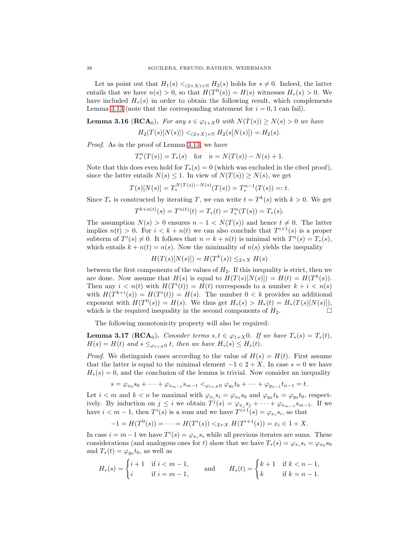Let us point out that  $H_1(s) \leq_{(2+X)\times \mathbb{N}} H_2(s)$  holds for  $s \neq 0$ . Indeed, the latter entails that we have  $n(s) > 0$ , so that  $H(T^0(s)) = H(s)$  witnesses  $H_*(s) > 0$ . We have included  $H_*(s)$  in order to obtain the following result, which complements Lemma [3.13](#page-26-0) (note that the corresponding statement for  $i = 0, 1$  can fail).

<span id="page-27-0"></span>**Lemma 3.16 (RCA<sub>0</sub>).** For any  $s \in \varphi_{1+X}$ 0 with  $N(T(s)) \ge N(s) > 0$  we have

$$
H_2(T(s)[N(s)]) <_{(2+X)\times \mathbb{N}} H_2(s[N(s)]) = H_2(s)
$$

Proof. As in the proof of Lemma [3.13,](#page-26-0) we have

$$
T_*^n(T(s)) = T_*(s)
$$
 for  $n = N(T(s)) - N(s) + 1$ .

Note that this does even hold for  $T_*(s) = 0$  (which was excluded in the cited proof), since the latter entails  $N(s) \leq 1$ . In view of  $N(T(s)) \geq N(s)$ , we get

$$
T(s)[N(s)] = T_*^{N(T(s)) - N(s)}(T(s)) = T_*^{n-1}(T(s)) =: t.
$$

Since  $T_*$  is constructed by iterating T, we can write  $t = T^k(s)$  with  $k > 0$ . We get

$$
T^{k+n(t)}(s) = T^{n(t)}(t) = T_*(t) = T_*^n(T(s)) = T_*(s).
$$

The assumption  $N(s) > 0$  ensures  $n - 1 < N(T(s))$  and hence  $t \neq 0$ . The latter implies  $n(t) > 0$ . For  $i < k + n(t)$  we can also conclude that  $T^{i+1}(s)$  is a proper subterm of  $T^i(s) \neq 0$ . It follows that  $n = k + n(t)$  is minimal with  $T^n(s) = T_*(s)$ , which entails  $k + n(t) = n(s)$ . Now the minimality of  $n(s)$  yields the inequality

$$
H(T(s)[N(s)]) = H(T^k(s)) \leq_{2 \times X} H(s)
$$

between the first components of the values of  $H_2$ . If this inequality is strict, then we are done. Now assume that  $H(s)$  is equal to  $H(T(s)[N(s)]) = H(t) = H(T^k(s)).$ Then any  $i < n(t)$  with  $H(T^{i}(t)) = H(t)$  corresponds to a number  $k + i < n(s)$ with  $H(T^{k+i}(s)) = H(T^{i}(t)) = H(s)$ . The number  $0 < k$  provides an additional exponent with  $H(T^0(s)) = H(s)$ . We thus get  $H_*(s) > H_*(t) = H_*(T(s)[N(s)]),$ which is the required inequality in the second components of  $H_2$ .

The following monotonicity property will also be required:

<span id="page-27-1"></span>**Lemma 3.17** (**RCA**<sub>0</sub>). Consider terms s,  $t \in \varphi_{1+X}$ 0. If we have  $T_*(s) = T_*(t)$ ,  $H(s) = H(t)$  and  $s \leq_{\varphi_{1+X}0} t$ , then we have  $H_*(s) \leq H_*(t)$ .

*Proof.* We distinguish cases according to the value of  $H(s) = H(t)$ . First assume that the latter is equal to the minimal element  $-1 \in 2 + X$ . In case  $s = 0$  we have  $H_*(s) = 0$ , and the conclusion of the lemma is trivial. Now consider an inequality

$$
s = \varphi_{x_0} s_0 + \dots + \varphi_{x_{m-1}} s_{m-1} <_{\varphi_{1+X} 0} \varphi_{y_0} t_0 + \dots + \varphi_{y_{n-1}} t_{n-1} = t.
$$

Let  $i < m$  and  $k < n$  be maximal with  $\varphi_{x_i} s_i = \varphi_{x_0} s_0$  and  $\varphi_{y_k} t_k = \varphi_{y_0} t_0$ , respectively. By induction on  $j \leq i$  we obtain  $T^j(s) = \varphi_{x_j} s_j + \cdots + \varphi_{x_{m-1}} s_{m-1}$ . If we have  $i < m - 1$ , then  $T<sup>i</sup>(s)$  is a sum and we have  $T<sup>i+1</sup>(s) = \varphi_{x_i} s_i$ , so that

$$
-1 = H(T0(s)) = \dots = H(Ti(s)) <_{2+X} H(Ti+1(s)) = xi \in 1+X.
$$

In case  $i = m - 1$  we have  $T^{i}(s) = \varphi_{x_i} s_i$  while all previous iterates are sums. These considerations (and analogous ones for t) show that we have  $T_*(s) = \varphi_{x_i} s_i = \varphi_{x_0} s_0$ and  $T_*(t) = \varphi_{y_0} t_0$ , as well as

$$
H_*(s)=\begin{cases} i+1 & \text{if $i
$$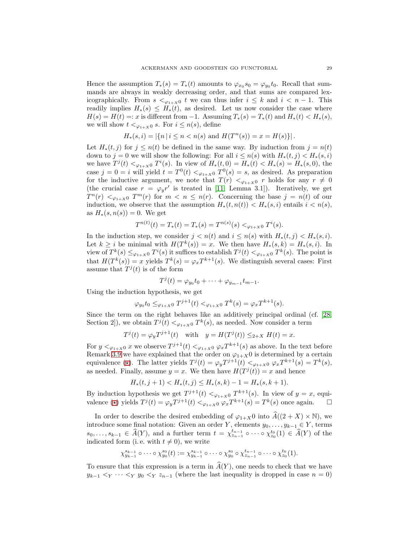Hence the assumption  $T_*(s) = T_*(t)$  amounts to  $\varphi_{x_0} s_0 = \varphi_{y_0} t_0$ . Recall that summands are always in weakly decreasing order, and that sums are compared lexicographically. From  $s <_{\varphi_{1+X}0} t$  we can thus infer  $i \leq k$  and  $i < n-1$ . This readily implies  $H_*(s) \leq H_*(t)$ , as desired. Let us now consider the case where  $H(s) = H(t) =: x$  is different from -1. Assuming  $T_*(s) = T_*(t)$  and  $H_*(t) < H_*(s)$ , we will show  $t <_{\varphi_{1+X}0} s$ . For  $i \leq n(s)$ , define

$$
H_*(s, i) = |\{n \mid i \le n < n(s) \text{ and } H(T^n(s)) = x = H(s)\}|.
$$

Let  $H_*(t, j)$  for  $j \leq n(t)$  be defined in the same way. By induction from  $j = n(t)$ down to j = 0 we will show the following: For all  $i \leq n(s)$  with  $H_*(t,j) < H_*(s,i)$ we have  $T^{j}(t) <_{\varphi_{1+X}0} T^{i}(s)$ . In view of  $H_*(t,0) = H_*(t) < H_*(s) = H_*(s,0)$ , the case  $j = 0 = i$  will yield  $t = T^0(t) <_{\varphi_{1+X}0} T^0(s) = s$ , as desired. As preparation for the inductive argument, we note that  $T(r) <_{\varphi_{1+X}0} r$  holds for any  $r \neq 0$ (the crucial case  $r = \varphi_y r'$  is treated in [\[11,](#page-35-24) Lemma 3.1]). Iteratively, we get  $T^{n}(r) <_{\varphi_{1+X}0} T^{m}(r)$  for  $m \leq n \leq n(r)$ . Concerning the base  $j = n(t)$  of our induction, we observe that the assumption  $H_*(t, n(t)) < H_*(s, i)$  entails  $i < n(s)$ , as  $H_*(s, n(s)) = 0$ . We get

$$
T^{n(t)}(t) = T_*(t) = T_*(s) = T^{n(s)}(s) <_{\varphi_{1+X}0} T^i(s).
$$

In the induction step, we consider  $j < n(t)$  and  $i \leq n(s)$  with  $H_*(t, j) < H_*(s, i)$ . Let  $k \geq i$  be minimal with  $H(T^k(s)) = x$ . We then have  $H_*(s, k) = H_*(s, i)$ . In view of  $T^k(s) \leq_{\varphi_{1+X}0} T^i(s)$  it suffices to establish  $T^j(t) <_{\varphi_{1+X}0} T^k(s)$ . The point is that  $H(T^k(s)) = x$  yields  $T^k(s) = \varphi_x T^{k+1}(s)$ . We distinguish several cases: First assume that  $T^{j}(t)$  is of the form

$$
T^{j}(t) = \varphi_{y_0} t_0 + \cdots + \varphi_{y_{m-1}} t_{m-1}.
$$

Using the induction hypothesis, we get

$$
\varphi_{y_0} t_0 \leq \varphi_{1+X} 0
$$
  $T^{j+1}(t) < \varphi_{1+X} 0$   $T^k(s) = \varphi_x T^{k+1}(s)$ .

Since the term on the right behaves like an additively principal ordinal (cf. [\[28,](#page-36-2) Section 2]), we obtain  $T^{j}(t) <_{\varphi_{1+X}0} T^{k}(s)$ , as needed. Now consider a term

$$
T^{j}(t) = \varphi_{y} T^{j+1}(t)
$$
 with  $y = H(T^{j}(t)) \leq_{2+X} H(t) = x$ .

For  $y <_{\varphi_{1+X}0} x$  we observe  $T^{j+1}(t) <_{\varphi_{1+X}0} \varphi_x T^{k+1}(s)$  as above. In the text before Remark [3.9](#page-23-1) we have explained that the order on  $\varphi_{1+X}0$  is determined by a certain equivalence ( $\star$ ). The latter yields  $T^{j}(t) = \varphi_{y} T^{j+1}(t) < \varphi_{y+x} 0 \varphi_{x} T^{k+1}(s) = T^{k}(s)$ , as needed. Finally, assume  $y = x$ . We then have  $H(T^{j}(t)) = x$  and hence

$$
H_*(t, j+1) < H_*(t, j) \le H_*(s, k) - 1 = H_*(s, k+1).
$$

By induction hypothesis we get  $T^{j+1}(t) <_{\varphi_{1+X}0} T^{k+1}(s)$ . In view of  $y = x$ , equivalence ( $\star$ ) yields  $T^{j}(t) = \varphi_{y} T^{j+1}(t) < \varphi_{1+X} 0 \varphi_{x} T^{k+1}(s) = T^{k}(s)$  once again.  $\square$ 

In order to describe the desired embedding of  $\varphi_{1+X}$ 0 into  $\widehat{A}((2+X)\times\mathbb{N})$ , we introduce some final notation: Given an order Y, elements  $y_0, \ldots, y_{k-1} \in Y$ , terms  $s_0, \ldots, s_{k-1} \in \widehat{A}(Y)$ , and a further term  $t = \chi_{z_{n-1}}^{t_{n-1}} \circ \cdots \circ \chi_{z_0}^{t_0}(1) \in \widehat{A}(Y)$  of the indicated form (i.e. with  $t \neq 0$ ), we write

$$
\chi_{y_{k-1}}^{s_{k-1}} \circ \cdots \circ \chi_{y_0}^{s_0}(t) := \chi_{y_{k-1}}^{s_{k-1}} \circ \cdots \circ \chi_{y_0}^{s_0} \circ \chi_{z_{n-1}}^{t_{n-1}} \circ \cdots \circ \chi_{z_0}^{t_0}(1).
$$

To ensure that this expression is a term in  $\widehat{A}(Y)$ , one needs to check that we have  $y_{k-1} <_{Y} \cdots <_{Y} y_0 <_{Y} z_{n-1}$  (where the last inequality is dropped in case  $n = 0$ )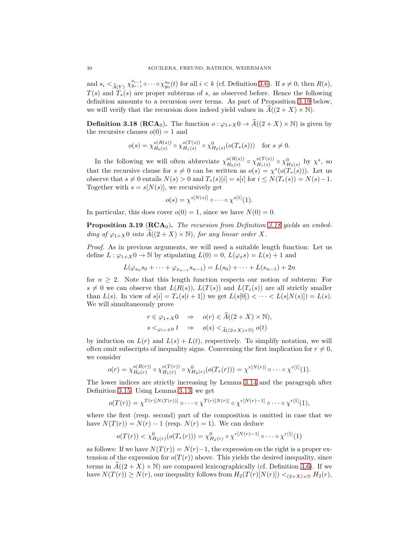and  $s_i <_{\widehat{A}(Y)} \chi_{y_{i-1}}^{s_{i-1}} \circ \cdots \circ \chi_{y_0}^{s_0}(t)$  for all  $i < k$  (cf. Definition [3.6\)](#page-20-0). If  $s \neq 0$ , then  $R(s)$ ,  $T(s)$  and  $T_*(s)$  are proper subterms of s, as observed before. Hence the following definition amounts to a recursion over terms. As part of Proposition [3.19](#page-29-0) below, we will verify that the recursion does indeed yield values in  $A((2 + X) \times N)$ .

<span id="page-29-1"></span>**Definition 3.18 (RCA**<sub>0</sub>). The function  $o : \varphi_{1+X} \mathbf{0} \to \widehat{A}((2+X) \times \mathbb{N})$  is given by the recursive clauses  $o(0) = 1$  and

$$
o(s) = \chi_{H_0(s)}^{o(R(s))} \circ \chi_{H_1(s)}^{o(T(s))} \circ \chi_{H_2(s)}^0(o(T_*(s))) \text{ for } s \neq 0.
$$

In the following we will often abbreviate  $\chi^{o(R(s))}_{H_o(s)}$  $\frac{o(R(s))}{H_0(s)} \circ \chi_{H_1(s)}^{o(T(s))}$  $\chi^{\scriptscriptstyle O(T(s))}_{H_1(s)} \circ \chi^{\scriptscriptstyle O}_{H_2(s)}$  by  $\chi^s$ , so that the recursive clause for  $s \neq 0$  can be written as  $o(s) = \chi^s(o(T_*(s)))$ . Let us observe that  $s \neq 0$  entails  $N(s) > 0$  and  $T_*(s)[i] = s[i]$  for  $i \leq N(T_*(s)) = N(s) - 1$ . Together with  $s = s[N(s)]$ , we recursively get

$$
o(s) = \chi^{s[N(s)]} \circ \cdots \circ \chi^{s[1]}(1).
$$

In particular, this does cover  $o(0) = 1$ , since we have  $N(0) = 0$ .

<span id="page-29-0"></span>**Proposition 3.19 (RCA<sub>0</sub>).** The recursion from Definition [3.18](#page-29-1) yields an embedding of  $\varphi_{1+X}$ 0 into  $\widehat{A}((2+X)\times \mathbb{N})$ , for any linear order X.

Proof. As in previous arguments, we will need a suitable length function: Let us define  $L: \varphi_{1+X} 0 \to \mathbb{N}$  by stipulating  $L(0) = 0$ ,  $L(\varphi_x s) = L(s) + 1$  and

$$
L(\varphi_{x_0}s_0 + \dots + \varphi_{x_{n-1}}s_{n-1}) = L(s_0) + \dots + L(s_{n-1}) + 2n
$$

for  $n \geq 2$ . Note that this length function respects our notion of subterm: For  $s \neq 0$  we can observe that  $L(R(s))$ ,  $L(T(s))$  and  $L(T_*(s))$  are all strictly smaller than  $L(s)$ . In view of  $s[i] = T_*(s[i+1])$  we get  $L(s[0]) < \cdots < L(s[N(s)]) = L(s)$ . We will simultaneously prove

$$
r \in \varphi_{1+X}0 \quad \Rightarrow \quad o(r) \in A((2+X) \times \mathbb{N}),
$$
  

$$
s <_{\varphi_{1+X}0} t \quad \Rightarrow \quad o(s) <_{\widehat{A}((2+X) \times \mathbb{N})} o(t)
$$

by induction on  $L(r)$  and  $L(s) + L(t)$ , respectively. To simplify notation, we will often omit subscripts of inequality signs. Concerning the first implication for  $r \neq 0$ , we consider

$$
o(r) = \chi_{H_0(r)}^{o(R(r))} \circ \chi_{H_1(r)}^{o(T(r))} \circ \chi_{H_2(r)}^{0}(o(T_*(r))) = \chi^{r[N(r)]} \circ \cdots \circ \chi^{r[1]}(1).
$$

The lower indices are strictly increasing by Lemma [3.14](#page-26-1) and the paragraph after Definition [3.15.](#page-26-2) Using Lemma [3.13,](#page-26-0) we get

$$
o(T(r)) = \chi^{T(r)[N(T(r))]} \circ \cdots \circ \chi^{T(r)[N(r)]} \circ \chi^{r[N(r)-1]} \circ \cdots \circ \chi^{r[1]}(1),
$$

where the first (resp. second) part of the composition is omitted in case that we have  $N(T(r)) = N(r) - 1$  (resp.  $N(r) = 1$ ). We can deduce

$$
o(T(r)) < \chi^0_{H_2(r)}(o(T_*(r))) = \chi^0_{H_2(r)} \circ \chi^{r[N(r)-1]} \circ \cdots \circ \chi^{r[1]}(1)
$$

as follows: If we have  $N(T(r)) = N(r)-1$ , the expression on the right is a proper extension of the expression for  $o(T(r))$  above. This yields the desired inequality, since terms in  $A((2 + X) \times N)$  are compared lexicographically (cf. Definition [3.6\)](#page-20-0). If we have  $N(T(r)) \geq N(r)$ , our inequality follows from  $H_2(T(r)[N(r)]) <_{(2+X)\times \mathbb{N}} H_2(r)$ ,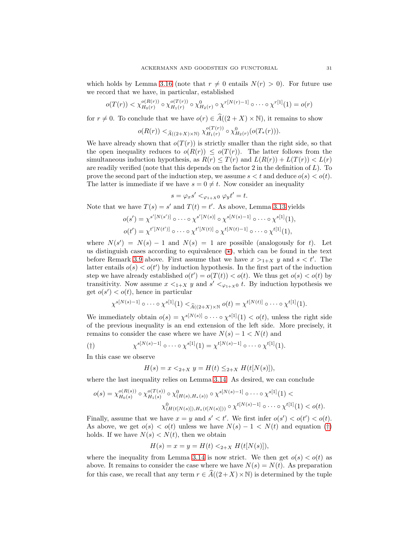which holds by Lemma [3.16](#page-27-0) (note that  $r \neq 0$  entails  $N(r) > 0$ ). For future use we record that we have, in particular, established

$$
o(T(r)) < \chi_{H_0(r)}^{o(R(r))} \circ \chi_{H_1(r)}^{o(T(r))} \circ \chi_{H_2(r)}^0 \circ \chi^{r[N(r)-1]} \circ \cdots \circ \chi^{r[1]}(1) = o(r)
$$

for  $r \neq 0$ . To conclude that we have  $o(r) \in \widehat{A}((2 + X) \times \mathbb{N})$ , it remains to show

$$
o(R(r)) <_{\widehat{A}((2+X)\times\mathbb{N})} \chi_{H_1(r)}^{o(T(r))} \circ \chi_{H_2(r)}^0(o(T_*(r))).
$$

We have already shown that  $o(T(r))$  is strictly smaller than the right side, so that the open inequality reduces to  $o(R(r)) \leq o(T(r))$ . The latter follows from the simultaneous induction hypothesis, as  $R(r) \leq T(r)$  and  $L(R(r)) + L(T(r)) < L(r)$ are readily verified (note that this depends on the factor 2 in the definition of  $L$ ). To prove the second part of the induction step, we assume  $s < t$  and deduce  $o(s) < o(t)$ . The latter is immediate if we have  $s = 0 \neq t$ . Now consider an inequality

$$
s = \varphi_x s' <_{\varphi_{1+X} 0} \varphi_y t' = t.
$$

Note that we have  $T(s) = s'$  and  $T(t) = t'$ . As above, Lemma [3.13](#page-26-0) yields

$$
o(s') = \chi^{s'[N(s')]}\circ \cdots \circ \chi^{s'[N(s)]}\circ \chi^{s[N(s)-1]}\circ \cdots \circ \chi^{s[1]}(1),
$$
  

$$
o(t') = \chi^{t'[N(t')]}\circ \cdots \circ \chi^{t'[N(t)]}\circ \chi^{t[N(t)-1]}\circ \cdots \circ \chi^{t[1]}(1),
$$

where  $N(s') = N(s) - 1$  and  $N(s) = 1$  are possible (analogously for t). Let us distinguish cases according to equivalence  $(\star)$ , which can be found in the text before Remark [3.9](#page-23-1) above. First assume that we have  $x >_{1+X} y$  and  $s < t'$ . The latter entails  $o(s) < o(t')$  by induction hypothesis. In the first part of the induction step we have already established  $o(t') = o(T(t)) < o(t)$ . We thus get  $o(s) < o(t)$  by transitivity. Now assume  $x \leq_{1+X} y$  and  $s' \leq_{\varphi_{1+X}0} t$ . By induction hypothesis we get  $o(s') < o(t)$ , hence in particular

$$
\chi^{s[N(s)-1]} \circ \cdots \circ \chi^{s[1]}(1) <_{\widehat{A}((2+X)\times \mathbb{N})} o(t) = \chi^{t[N(t)]} \circ \cdots \circ \chi^{t[1]}(1).
$$

We immediately obtain  $o(s) = \chi^{s[N(s)]} \circ \cdots \circ \chi^{s[1]}(1) < o(t)$ , unless the right side of the previous inequality is an end extension of the left side. More precisely, it remains to consider the case where we have  $N(s) - 1 < N(t)$  and

<span id="page-30-0"></span>(†) 
$$
\chi^{s[N(s)-1]} \circ \cdots \circ \chi^{s[1]}(1) = \chi^{t[N(s)-1]} \circ \cdots \circ \chi^{t[1]}(1).
$$

In this case we observe

$$
H(s) = x <_{2+X} y = H(t) \leq_{2+X} H(t[N(s)]),
$$

where the last inequality relies on Lemma [3.14.](#page-26-1) As desired, we can conclude

$$
o(s) = \chi_{H_0(s)}^{o(R(s))} \circ \chi_{H_1(s)}^{o(T(s))} \circ \chi_{(H(s),H_*(s))}^0 \circ \chi^{s[N(s)-1]} \circ \cdots \circ \chi^{s[1]}(1) \chi_{(H(t[N(s)]),H_*(t[N(s)]))}^0 \circ \chi^{t[N(s)-1]} \circ \cdots \circ \chi^{t[1]}(1) < o(t).
$$

Finally, assume that we have  $x = y$  and  $s' < t'$ . We first infer  $o(s') < o(t') < o(t)$ . As above, we get  $o(s) < o(t)$  unless we have  $N(s) - 1 < N(t)$  and equation ([†](#page-30-0)) holds. If we have  $N(s) < N(t)$ , then we obtain

$$
H(s) = x = y = H(t) <_{2+X} H(t[N(s)]),
$$

where the inequality from Lemma [3.14](#page-26-1) is now strict. We then get  $o(s) < o(t)$  as above. It remains to consider the case where we have  $N(s) = N(t)$ . As preparation for this case, we recall that any term  $r \in \widehat{A}((2+X)\times\mathbb{N})$  is determined by the tuple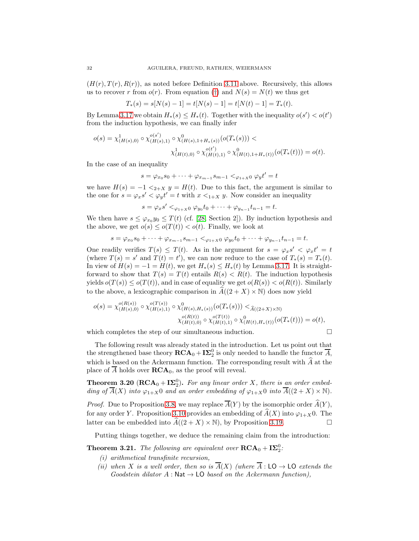$(H(r), T(r), R(r))$ , as noted before Definition [3.11](#page-25-0) above. Recursively, this allows us to recover r from  $o(r)$ . From equation ([†](#page-30-0)) and  $N(s) = N(t)$  we thus get

$$
T_*(s) = s[N(s) - 1] = t[N(s) - 1] = t[N(t) - 1] = T_*(t).
$$

By Lemma [3.17](#page-27-1) we obtain  $H_*(s) \leq H_*(t)$ . Together with the inequality  $o(s') < o(t')$ from the induction hypothesis, we can finally infer

$$
o(s) = \chi^1_{(H(s),0)} \circ \chi^{o(s')}_{(H(s),1)} \circ \chi^{0}_{(H(s),1+H_*(s))}(o(T_*(s))) \chi^{1}_{(H(t),0)} \circ \chi^{o(t')}_{(H(t),1)} \circ \chi^{0}_{(H(t),1+H_*(t))}(o(T_*(t))) = o(t).
$$

In the case of an inequality

$$
s = \varphi_{x_0} s_0 + \dots + \varphi_{x_{m-1}} s_{m-1} <_{\varphi_{1+X} 0} \varphi_y t' = t
$$

we have  $H(s) = -1 \langle 2+x \rangle y = H(t)$ . Due to this fact, the argument is similar to the one for  $s = \varphi_x s' < \varphi_y t' = t$  with  $x <_{1+X} y$ . Now consider an inequality

 $s = \varphi_x s' <_{\varphi_{1+x} 0} \varphi_{y_0} t_0 + \cdots + \varphi_{y_{n-1}} t_{n-1} = t.$ 

We then have  $s \leq \varphi_{x_0} y_0 \leq T(t)$  (cf. [\[28,](#page-36-2) Section 2]). By induction hypothesis and the above, we get  $o(s) \leq o(T(t)) < o(t)$ . Finally, we look at

$$
s = \varphi_{x_0} s_0 + \dots + \varphi_{x_{m-1}} s_{m-1} <_{\varphi_{1+x} 0} \varphi_{y_0} t_0 + \dots + \varphi_{y_{n-1}} t_{n-1} = t.
$$

One readily verifies  $T(s) \leq T(t)$ . As in the argument for  $s = \varphi_x s' < \varphi_x t' = t$ (where  $T(s) = s'$  and  $T(t) = t'$ ), we can now reduce to the case of  $T_*(s) = T_*(t)$ . In view of  $H(s) = -1 = H(t)$ , we get  $H_*(s) \leq H_*(t)$  by Lemma [3.17.](#page-27-1) It is straightforward to show that  $T(s) = T(t)$  entails  $R(s) < R(t)$ . The induction hypothesis yields  $o(T(s)) \leq o(T(t))$ , and in case of equality we get  $o(R(s)) < o(R(t))$ . Similarly to the above, a lexicographic comparison in  $\widehat{A}((2 + X) \times N)$  does now yield

$$
o(s) = \chi_{(H(s),0)}^{o(R(s))} \circ \chi_{(H(s),1)}^{o(T(s))} \circ \chi_{(H(s),H_*(s))}^{0}(o(T_*(s))) < \widehat{A}_{((2+X)\times\mathbb{N})}
$$

$$
\chi_{(H(t),0)}^{o(R(t))} \circ \chi_{(H(t),1)}^{o(T(t))} \circ \chi_{(H(t),H_*(t))}^{0}(o(T_*(t))) = o(t),
$$

which completes the step of our simultaneous induction.  $\Box$ 

The following result was already stated in the introduction. Let us point out that the strengthened base theory  $\mathbf{RCA}_0 + \mathbf{I}\Sigma_2^0$  is only needed to handle the functor  $\overline{A}$ , which is based on the Ackermann function. The corresponding result with  $\hat{A}$  at the place of  $\overline{A}$  holds over  $\mathbf{RCA}_0$ , as the proof will reveal.

<span id="page-31-0"></span>**Theorem 3.20** ( $\text{RCA}_0 + \text{I}\Sigma_2^0$ ). For any linear order X, there is an order embedding of  $\overline{A}(X)$  into  $\varphi_{1+X}$ 0 and an order embedding of  $\varphi_{1+X}$ 0 into  $\overline{A}((2+X)\times \mathbb{N})$ .

*Proof.* Due to Proposition [3.8,](#page-21-0) we may replace  $\overline{A}(Y)$  by the isomorphic order  $\hat{A}(Y)$ , for any order Y. Proposition [3.10](#page-24-0) provides an embedding of  $\widehat{A}(X)$  into  $\varphi_{1+X}$  0. The latter can be embedded into  $\widehat{A}((2+X)\times\mathbb{N})$ , by Proposition 3.19. latter can be embedded into  $\widehat{A}((2 + X) \times \mathbb{N})$ , by Proposition [3.19.](#page-29-0)

Putting things together, we deduce the remaining claim from the introduction:

<span id="page-31-1"></span>**Theorem 3.21.** The following are equivalent over  $\mathbf{RCA}_0 + \mathbf{I}\mathbf{\Sigma}_2^0$ :

- (i) arithmetical transfinite recursion,
- (ii) when X is a well order, then so is  $\overline{A}(X)$  (where  $\overline{A}:$  LO  $\rightarrow$  LO extends the Goodstein dilator  $A : \mathsf{Nat} \to \mathsf{LO}$  based on the Ackermann function),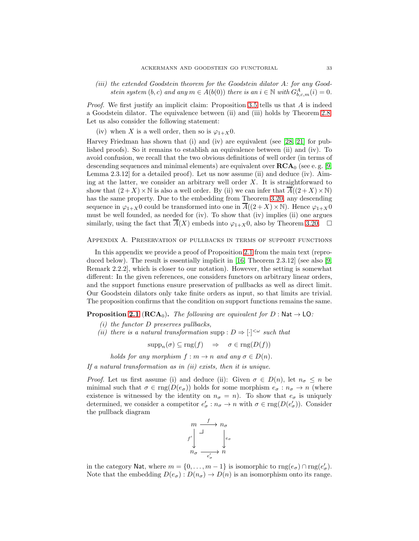(iii) the extended Goodstein theorem for the Goodstein dilator A: for any Goodstein system  $(b, c)$  and any  $m \in A(b(0))$  there is an  $i \in \mathbb{N}$  with  $G_{b, c, m}^{A}(i) = 0$ .

Proof. We first justify an implicit claim: Proposition [3.5](#page-19-1) tells us that A is indeed a Goodstein dilator. The equivalence between (ii) and (iii) holds by Theorem [2.8.](#page-12-0) Let us also consider the following statement:

(iv) when X is a well order, then so is  $\varphi_{1+X}0$ .

Harvey Friedman has shown that (i) and (iv) are equivalent (see [\[28,](#page-36-2) [21\]](#page-35-15) for published proofs). So it remains to establish an equivalence between (ii) and (iv). To avoid confusion, we recall that the two obvious definitions of well order (in terms of descending sequences and minimal elements) are equivalent over  $\mathbf{RCA}_0$  (see e.g. [\[9,](#page-35-23) Lemma 2.3.12] for a detailed proof). Let us now assume (ii) and deduce (iv). Aiming at the latter, we consider an arbitrary well order  $X$ . It is straightforward to show that  $(2+X)\times\mathbb{N}$  is also a well order. By (ii) we can infer that  $\overline{A}((2+X)\times\mathbb{N})$ has the same property. Due to the embedding from Theorem [3.20,](#page-31-0) any descending sequence in  $\varphi_{1+X}$ 0 could be transformed into one in  $\overline{A}((2+X)\times\mathbb{N})$ . Hence  $\varphi_{1+X}$ 0 must be well founded, as needed for (iv). To show that (iv) implies (ii) one argues similarly, using the fact that  $\overline{A}(X)$  embeds into  $\varphi_{1+X}0$ , also by Theorem [3.20.](#page-31-0)  $\Box$ 

#### <span id="page-32-0"></span>Appendix A. Preservation of pullbacks in terms of support functions

In this appendix we provide a proof of Proposition [2.1](#page-7-0) from the main text (reproduced below). The result is essentially implicit in [\[16,](#page-35-9) Theorem 2.3.12] (see also [\[9,](#page-35-23) Remark 2.2.2], which is closer to our notation). However, the setting is somewhat different: In the given references, one considers functors on arbitrary linear orders, and the support functions ensure preservation of pullbacks as well as direct limit. Our Goodstein dilators only take finite orders as input, so that limits are trivial. The proposition confirms that the condition on support functions remains the same.

**Proposition [2.1](#page-7-0)** ( $\text{RCA}_0$ ). The following are equivalent for D : Nat  $\rightarrow$  LO:

- $(i)$  the functor D preserves pullbacks,
- (ii) there is a natural transformation supp :  $D \Rightarrow [\cdot]^{<\omega}$  such that

 $\text{supp}_n(\sigma) \subseteq \text{rng}(f) \Rightarrow \sigma \in \text{rng}(D(f))$ 

holds for any morphism  $f : m \to n$  and any  $\sigma \in D(n)$ .

If a natural transformation as in  $(ii)$  exists, then it is unique.

*Proof.* Let us first assume (i) and deduce (ii): Given  $\sigma \in D(n)$ , let  $n_{\sigma} \leq n$  be minimal such that  $\sigma \in \text{rng}(D(e_{\sigma}))$  holds for some morphism  $e_{\sigma}: n_{\sigma} \to n$  (where existence is witnessed by the identity on  $n_{\sigma} = n$ ). To show that  $e_{\sigma}$  is uniquely determined, we consider a competitor  $e'_{\sigma}: n_{\sigma} \to n$  with  $\sigma \in \text{rng}(D(e'_{\sigma}))$ . Consider the pullback diagram



in the category Nat, where  $m = \{0, \ldots, m-1\}$  is isomorphic to  $\text{rng}(e_{\sigma}) \cap \text{rng}(e'_{\sigma})$ . Note that the embedding  $D(e_{\sigma}): D(n_{\sigma}) \to D(n)$  is an isomorphism onto its range.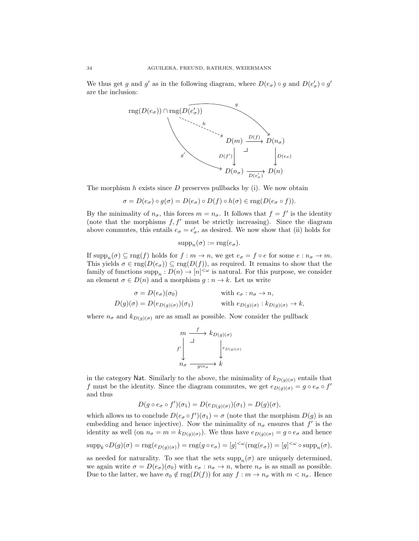We thus get g and g' as in the following diagram, where  $D(e_{\sigma}) \circ g$  and  $D(e'_{\sigma}) \circ g'$ are the inclusion:



The morphism  $h$  exists since  $D$  preserves pullbacks by (i). We now obtain

$$
\sigma = D(e_{\sigma}) \circ g(\sigma) = D(e_{\sigma}) \circ D(f) \circ h(\sigma) \in \mathrm{rng}(D(e_{\sigma} \circ f)).
$$

By the minimality of  $n_{\sigma}$ , this forces  $m = n_{\sigma}$ . It follows that  $f = f'$  is the identity (note that the morphisms  $f, f'$  must be strictly increasing). Since the diagram above commutes, this entails  $e_{\sigma} = e'_{\sigma}$ , as desired. We now show that (ii) holds for

$$
supp_n(\sigma) := \text{rng}(e_\sigma).
$$

If  $\text{supp}_n(\sigma) \subseteq \text{rng}(f)$  holds for  $f : m \to n$ , we get  $e_{\sigma} = f \circ e$  for some  $e : n_{\sigma} \to m$ . This yields  $\sigma \in \text{rng}(D(e_{\sigma})) \subseteq \text{rng}(D(f))$ , as required. It remains to show that the family of functions  $\text{supp}_n: D(n) \to [n]^{<\omega}$  is natural. For this purpose, we consider an element  $\sigma \in D(n)$  and a morphism  $g : n \to k$ . Let us write

$$
\sigma = D(e_{\sigma})(\sigma_0) \qquad \text{with } e_{\sigma} : n_{\sigma} \to n,
$$
  

$$
D(g)(\sigma) = D(e_{D(g)(\sigma)})(\sigma_1) \qquad \text{with } e_{D(g)(\sigma)} : k_{D(g)(\sigma)} \to k,
$$

where  $n_{\sigma}$  and  $k_{D(q)(\sigma)}$  are as small as possible. Now consider the pullback

$$
\begin{array}{ccc}\nm & f & k_{D(g)(\sigma)} \\
f' & & \downarrow \\
n_{\sigma} & & \downarrow \\
n_{\sigma} & \xrightarrow{g \circ \varepsilon_{\sigma}} & k\n\end{array}
$$

in the category Nat. Similarly to the above, the minimality of  $k_{D(g)(\sigma)}$  entails that f must be the identity. Since the diagram commutes, we get  $e_{D(g)(\sigma)} = g \circ e_{\sigma} \circ f'$ and thus

$$
D(g \circ e_{\sigma} \circ f')(\sigma_1) = D(e_{D(g)(\sigma)})(\sigma_1) = D(g)(\sigma),
$$

which allows us to conclude  $D(e_{\sigma} \circ f')(\sigma_1) = \sigma$  (note that the morphism  $D(g)$  is an embedding and hence injective). Now the minimality of  $n_{\sigma}$  ensures that  $f'$  is the identity as well (on  $n_{\sigma} = m = k_{D(q)(\sigma)}$ ). We thus have  $e_{D(q)(\sigma)} = g \circ e_{\sigma}$  and hence

$$
\operatorname{supp}_k \circ D(g)(\sigma) = \operatorname{rng}(e_{D(g)(\sigma)}) = \operatorname{rng}(g \circ e_{\sigma}) = [g]^{<\omega}(\operatorname{rng}(e_{\sigma})) = [g]^{<\omega} \circ \operatorname{supp}_n(\sigma),
$$

as needed for naturality. To see that the sets  $\text{supp}_n(\sigma)$  are uniquely determined, we again write  $\sigma = D(e_{\sigma})(\sigma_0)$  with  $e_{\sigma}: n_{\sigma} \to n$ , where  $n_{\sigma}$  is as small as possible. Due to the latter, we have  $\sigma_0 \notin \text{rng}(D(f))$  for any  $f : m \to n_\sigma$  with  $m < n_\sigma$ . Hence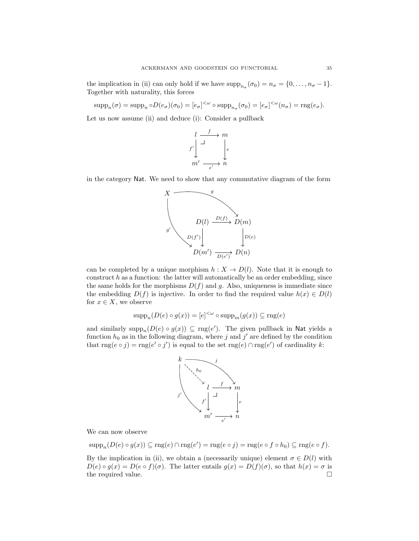the implication in (ii) can only hold if we have  $\text{supp}_{n_{\sigma}}(\sigma_0) = n_{\sigma} = \{0, \ldots, n_{\sigma} - 1\}.$ Together with naturality, this forces

 $\text{supp}_n(\sigma) = \text{supp}_n \circ D(e_{\sigma})(\sigma_0) = [e_{\sigma}]^{\langle \omega} \circ \text{supp}_{n_{\sigma}}(\sigma_0) = [e_{\sigma}]^{\langle \omega}(n_{\sigma}) = \text{rng}(e_{\sigma}).$ 

Let us now assume (ii) and deduce (i): Consider a pullback



in the category Nat. We need to show that any commutative diagram of the form



can be completed by a unique morphism  $h : X \to D(l)$ . Note that it is enough to construct  $h$  as a function: the latter will automatically be an order embedding, since the same holds for the morphisms  $D(f)$  and g. Also, uniqueness is immediate since the embedding  $D(f)$  is injective. In order to find the required value  $h(x) \in D(l)$ for  $x \in X$ , we observe

$$
\operatorname{supp}_n(D(e) \circ g(x)) = [e]^{<\omega} \circ \operatorname{supp}_m(g(x)) \subseteq \operatorname{rng}(e)
$$

and similarly  $\text{supp}_n(D(e) \circ g(x)) \subseteq \text{rng}(e')$ . The given pullback in Nat yields a function  $h_0$  as in the following diagram, where j and j' are defined by the condition that  $\text{rng}(e \circ j) = \text{rng}(e' \circ j')$  is equal to the set  $\text{rng}(e) \cap \text{rng}(e')$  of cardinality k:



We can now observe

$$
supp_n(D(e) \circ g(x)) \subseteq rng(e) \cap rng(e') = rng(e \circ j) = rng(e \circ f \circ h_0) \subseteq rng(e \circ f).
$$

By the implication in (ii), we obtain a (necessarily unique) element  $\sigma \in D(l)$  with  $D(e) \circ g(x) = D(e \circ f)(\sigma)$ . The latter entails  $g(x) = D(f)(\sigma)$ , so that  $h(x) = \sigma$  is the required value.  $\hfill \square$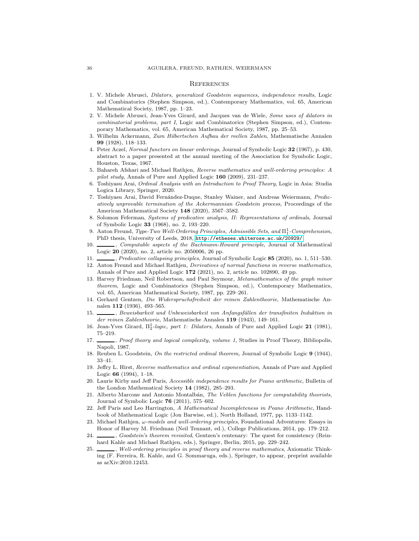#### **REFERENCES**

- <span id="page-35-13"></span>1. V. Michele Abrusci, *Dilators, generalized Goodstein sequences, independence results*, Logic and Combinatorics (Stephen Simpson, ed.), Contemporary Mathematics, vol. 65, American Mathematical Society, 1987, pp. 1–23.
- <span id="page-35-14"></span>2. V. Michele Abrusci, Jean-Yves Girard, and Jacques van de Wiele, *Some uses of dilators in combinatorial problems, part I*, Logic and Combinatorics (Stephen Simpson, ed.), Contemporary Mathematics, vol. 65, American Mathematical Society, 1987, pp. 25–53.
- <span id="page-35-18"></span>3. Wilhelm Ackermann, *Zum Hilbertschen Aufbau der reellen Zahlen*, Mathematische Annalen 99 (1928), 118–133.
- <span id="page-35-10"></span>4. Peter Aczel, *Normal functors on linear orderings*, Journal of Symbolic Logic 32 (1967), p. 430, abstract to a paper presented at the annual meeting of the Association for Symbolic Logic, Houston, Texas, 1967.
- <span id="page-35-16"></span>5. Bahareh Afshari and Michael Rathjen, *Reverse mathematics and well-ordering principles: A pilot study*, Annals of Pure and Applied Logic 160 (2009), 231–237.
- <span id="page-35-22"></span>6. Toshiyasu Arai, *Ordinal Analysis with an Introduction to Proof Theory*, Logic in Asia: Studia Logica Library, Springer, 2020.
- <span id="page-35-19"></span>7. Toshiyasu Arai, David Fern´andez-Duque, Stanley Wainer, and Andreas Weiermann, *Predicatively unprovable termination of the Ackermannian Goodstein process*, Proceedings of the American Mathematical Society 148 (2020), 3567–3582.
- <span id="page-35-11"></span>8. Solomon Feferman, *Systems of predicative analysis, II: Representations of ordinals*, Journal of Symbolic Logic 33 (1968), no. 2, 193–220.
- <span id="page-35-23"></span>9. Anton Freund, *Type-Two Well-Ordering Principles, Admissible Sets, and* Π<sup>1</sup> 1 *-Comprehension*, PhD thesis, University of Leeds, 2018, <http://etheses.whiterose.ac.uk/20929/>.
- <span id="page-35-20"></span>10. , *Computable aspects of the Bachmann-Howard principle*, Journal of Mathematical Logic 20 (2020), no. 2, article no. 2050006, 26 pp.
- <span id="page-35-24"></span><span id="page-35-21"></span>11. , *Predicative collapsing principles*, Journal of Symbolic Logic 85 (2020), no. 1, 511–530.
- 12. Anton Freund and Michael Rathjen, *Derivatives of normal functions in reverse mathematics*, Annals of Pure and Applied Logic 172 (2021), no. 2, article no. 102890, 49 pp.
- <span id="page-35-2"></span>13. Harvey Friedman, Neil Robertson, and Paul Seymour, *Metamathematics of the graph minor theorem*, Logic and Combinatorics (Stephen Simpson, ed.), Contemporary Mathematics, vol. 65, American Mathematical Society, 1987, pp. 229–261.
- <span id="page-35-4"></span>14. Gerhard Gentzen, *Die Widerspruchsfreiheit der reinen Zahlentheorie*, Mathematische Annalen 112 (1936), 493–565.
- <span id="page-35-5"></span>15. , *Beweisbarkeit und Unbeweisbarkeit von Anfangsf¨allen der transfiniten Induktion in der reinen Zahlentheorie*, Mathematische Annalen 119 (1943), 149–161.
- <span id="page-35-9"></span><span id="page-35-7"></span>16. Jean-Yves Girard, Π<sub>2</sub>-logic, part 1: Dilators, Annals of Pure and Applied Logic 21 (1981), 75–219.
- 17. , *Proof theory and logical complexity, volume 1*, Studies in Proof Theory, Bibliopolis, Napoli, 1987.
- <span id="page-35-8"></span><span id="page-35-3"></span>18. Reuben L. Goodstein, *On the restricted ordinal theorem*, Journal of Symbolic Logic 9 (1944), 33–41.
- 19. Jeffry L. Hirst, *Reverse mathematics and ordinal exponentiation*, Annals of Pure and Applied Logic 66 (1994), 1–18.
- <span id="page-35-0"></span>20. Laurie Kirby and Jeff Paris, *Accessible independence results for Peano arithmetic*, Bulletin of the London Mathematical Society 14 (1982), 285–293.
- <span id="page-35-15"></span>21. Alberto Marcone and Antonio Montalb´an, *The Veblen functions for computability theorists*, Journal of Symbolic Logic 76 (2011), 575–602.
- <span id="page-35-1"></span>22. Jeff Paris and Leo Harrington, *A Mathematical Incompleteness in Peano Arithmetic*, Handbook of Mathematical Logic (Jon Barwise, ed.), North Holland, 1977, pp. 1133–1142.
- <span id="page-35-17"></span>23. Michael Rathjen, ω*-models and well-ordering principles*, Foundational Adventures: Essays in Honor of Harvey M. Friedman (Neil Tennant, ed.), College Publications, 2014, pp. 179–212.
- <span id="page-35-6"></span>24. , *Goodstein's theorem revisited*, Gentzen's centenary: The quest for consistency (Reinhard Kahle and Michael Rathjen, eds.), Springer, Berlin, 2015, pp. 229–242.
- <span id="page-35-12"></span>25. , *Well-ordering principles in proof theory and reverse mathematics*, Axiomatic Thinking (F. Ferreira, R. Kahle, and G. Sommaruga, eds.), Springer, to appear, preprint available as arXiv:2010.12453.